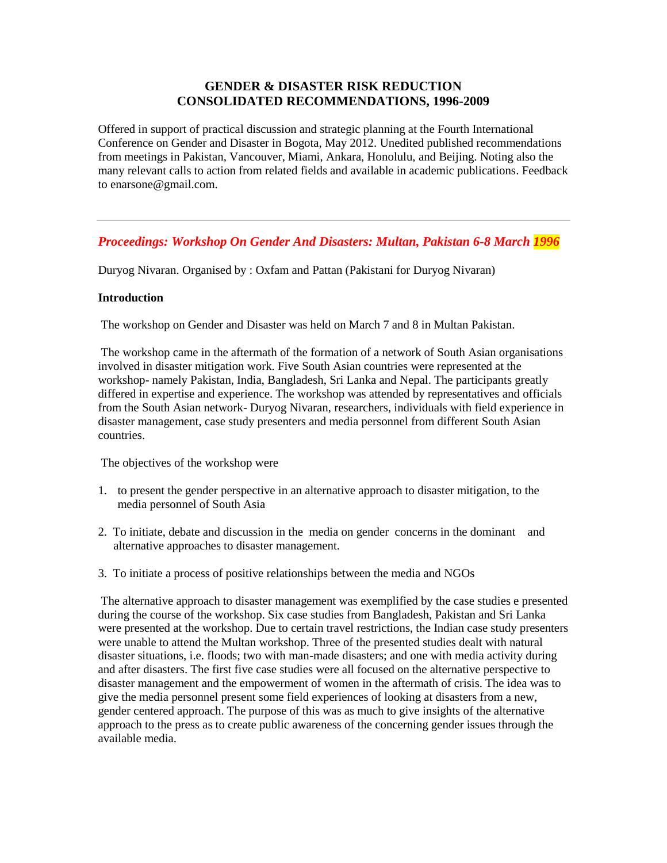## **GENDER & DISASTER RISK REDUCTION CONSOLIDATED RECOMMENDATIONS, 1996-2009**

Offered in support of practical discussion and strategic planning at the Fourth International Conference on Gender and Disaster in Bogota, May 2012. Unedited published recommendations from meetings in Pakistan, Vancouver, Miami, Ankara, Honolulu, and Beijing. Noting also the many relevant calls to action from related fields and available in academic publications. Feedback to enarsone@gmail.com.

# *Proceedings: Workshop On Gender And Disasters: Multan, Pakistan 6-8 March 1996*

Duryog Nivaran. Organised by : Oxfam and Pattan (Pakistani for Duryog Nivaran)

### **Introduction**

The workshop on Gender and Disaster was held on March 7 and 8 in Multan Pakistan.

The workshop came in the aftermath of the formation of a network of South Asian organisations involved in disaster mitigation work. Five South Asian countries were represented at the workshop- namely Pakistan, India, Bangladesh, Sri Lanka and Nepal. The participants greatly differed in expertise and experience. The workshop was attended by representatives and officials from the South Asian network- Duryog Nivaran, researchers, individuals with field experience in disaster management, case study presenters and media personnel from different South Asian countries.

The objectives of the workshop were

- 1. to present the gender perspective in an alternative approach to disaster mitigation, to the media personnel of South Asia
- 2. To initiate, debate and discussion in the media on gender concerns in the dominant and alternative approaches to disaster management.
- 3. To initiate a process of positive relationships between the media and NGOs

The alternative approach to disaster management was exemplified by the case studies e presented during the course of the workshop. Six case studies from Bangladesh, Pakistan and Sri Lanka were presented at the workshop. Due to certain travel restrictions, the Indian case study presenters were unable to attend the Multan workshop. Three of the presented studies dealt with natural disaster situations, i.e. floods; two with man-made disasters; and one with media activity during and after disasters. The first five case studies were all focused on the alternative perspective to disaster management and the empowerment of women in the aftermath of crisis. The idea was to give the media personnel present some field experiences of looking at disasters from a new, gender centered approach. The purpose of this was as much to give insights of the alternative approach to the press as to create public awareness of the concerning gender issues through the available media.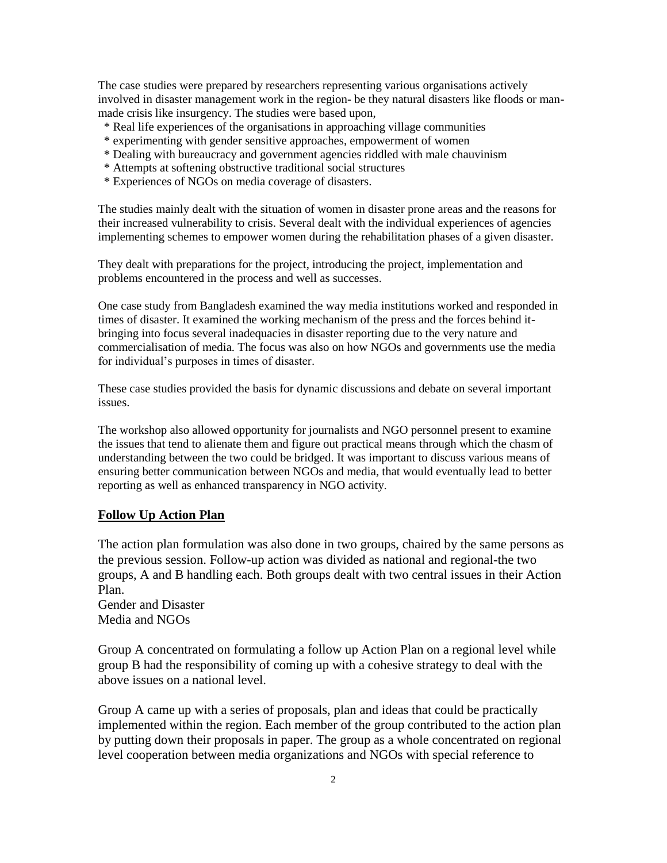The case studies were prepared by researchers representing various organisations actively involved in disaster management work in the region- be they natural disasters like floods or manmade crisis like insurgency. The studies were based upon,

- \* Real life experiences of the organisations in approaching village communities
- \* experimenting with gender sensitive approaches, empowerment of women
- \* Dealing with bureaucracy and government agencies riddled with male chauvinism
- \* Attempts at softening obstructive traditional social structures
- \* Experiences of NGOs on media coverage of disasters.

The studies mainly dealt with the situation of women in disaster prone areas and the reasons for their increased vulnerability to crisis. Several dealt with the individual experiences of agencies implementing schemes to empower women during the rehabilitation phases of a given disaster.

They dealt with preparations for the project, introducing the project, implementation and problems encountered in the process and well as successes.

One case study from Bangladesh examined the way media institutions worked and responded in times of disaster. It examined the working mechanism of the press and the forces behind itbringing into focus several inadequacies in disaster reporting due to the very nature and commercialisation of media. The focus was also on how NGOs and governments use the media for individual's purposes in times of disaster.

These case studies provided the basis for dynamic discussions and debate on several important issues.

The workshop also allowed opportunity for journalists and NGO personnel present to examine the issues that tend to alienate them and figure out practical means through which the chasm of understanding between the two could be bridged. It was important to discuss various means of ensuring better communication between NGOs and media, that would eventually lead to better reporting as well as enhanced transparency in NGO activity.

## **Follow Up Action Plan**

The action plan formulation was also done in two groups, chaired by the same persons as the previous session. Follow-up action was divided as national and regional-the two groups, A and B handling each. Both groups dealt with two central issues in their Action Plan.

Gender and Disaster Media and NGOs

Group A concentrated on formulating a follow up Action Plan on a regional level while group B had the responsibility of coming up with a cohesive strategy to deal with the above issues on a national level.

Group A came up with a series of proposals, plan and ideas that could be practically implemented within the region. Each member of the group contributed to the action plan by putting down their proposals in paper. The group as a whole concentrated on regional level cooperation between media organizations and NGOs with special reference to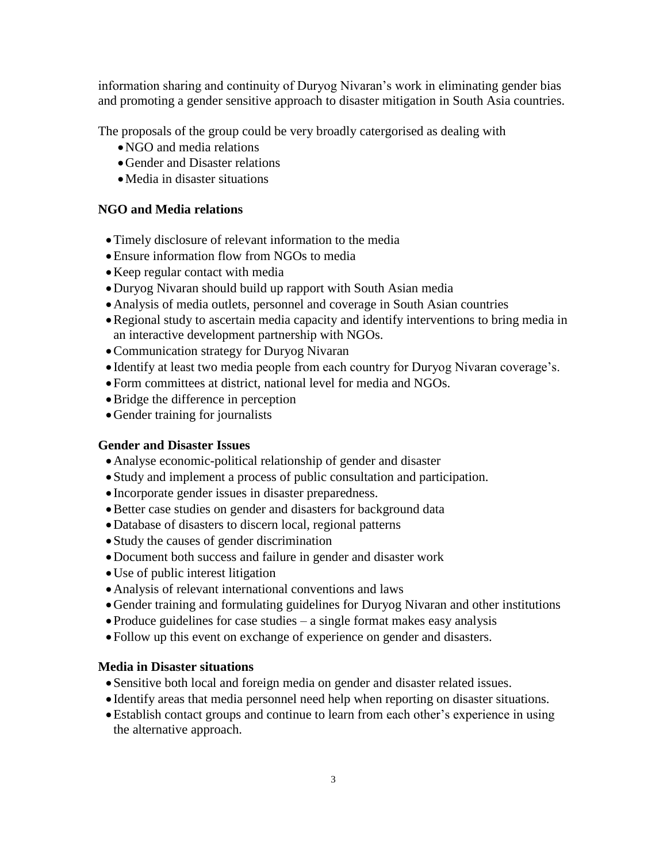information sharing and continuity of Duryog Nivaran's work in eliminating gender bias and promoting a gender sensitive approach to disaster mitigation in South Asia countries.

The proposals of the group could be very broadly catergorised as dealing with

- NGO and media relations
- Gender and Disaster relations
- Media in disaster situations

# **NGO and Media relations**

- Timely disclosure of relevant information to the media
- Ensure information flow from NGOs to media
- Keep regular contact with media
- Duryog Nivaran should build up rapport with South Asian media
- Analysis of media outlets, personnel and coverage in South Asian countries
- Regional study to ascertain media capacity and identify interventions to bring media in an interactive development partnership with NGOs.
- Communication strategy for Duryog Nivaran
- Identify at least two media people from each country for Duryog Nivaran coverage's.
- Form committees at district, national level for media and NGOs.
- Bridge the difference in perception
- Gender training for journalists

# **Gender and Disaster Issues**

- Analyse economic-political relationship of gender and disaster
- Study and implement a process of public consultation and participation.
- Incorporate gender issues in disaster preparedness.
- Better case studies on gender and disasters for background data
- Database of disasters to discern local, regional patterns
- Study the causes of gender discrimination
- Document both success and failure in gender and disaster work
- Use of public interest litigation
- Analysis of relevant international conventions and laws
- Gender training and formulating guidelines for Duryog Nivaran and other institutions
- Produce guidelines for case studies a single format makes easy analysis
- Follow up this event on exchange of experience on gender and disasters.

## **Media in Disaster situations**

- Sensitive both local and foreign media on gender and disaster related issues.
- Identify areas that media personnel need help when reporting on disaster situations.
- Establish contact groups and continue to learn from each other's experience in using the alternative approach.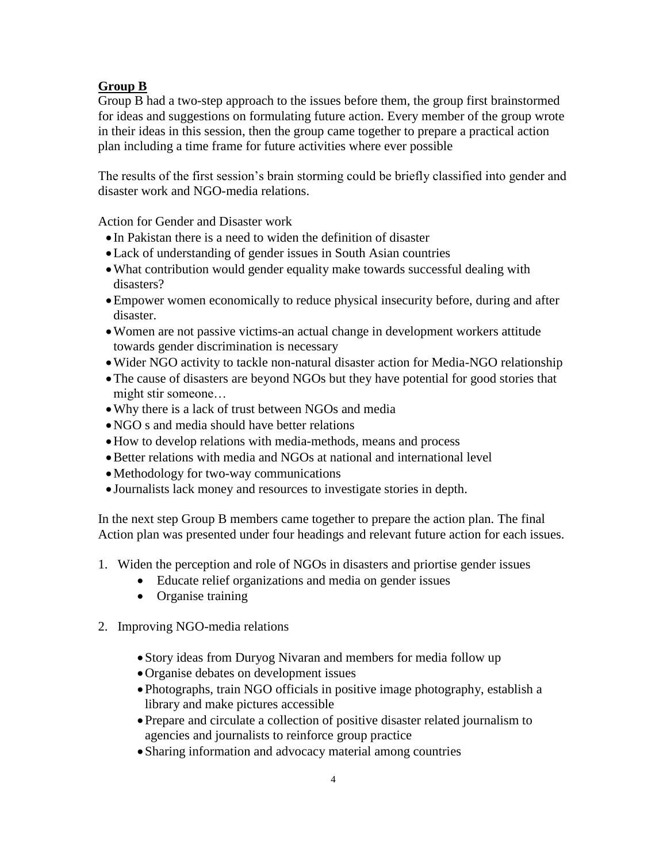# **Group B**

Group B had a two-step approach to the issues before them, the group first brainstormed for ideas and suggestions on formulating future action. Every member of the group wrote in their ideas in this session, then the group came together to prepare a practical action plan including a time frame for future activities where ever possible

The results of the first session's brain storming could be briefly classified into gender and disaster work and NGO-media relations.

Action for Gender and Disaster work

- In Pakistan there is a need to widen the definition of disaster
- Lack of understanding of gender issues in South Asian countries
- What contribution would gender equality make towards successful dealing with disasters?
- Empower women economically to reduce physical insecurity before, during and after disaster.
- Women are not passive victims-an actual change in development workers attitude towards gender discrimination is necessary
- Wider NGO activity to tackle non-natural disaster action for Media-NGO relationship
- The cause of disasters are beyond NGOs but they have potential for good stories that might stir someone…
- Why there is a lack of trust between NGOs and media
- NGO s and media should have better relations
- How to develop relations with media-methods, means and process
- Better relations with media and NGOs at national and international level
- Methodology for two-way communications
- Journalists lack money and resources to investigate stories in depth.

In the next step Group B members came together to prepare the action plan. The final Action plan was presented under four headings and relevant future action for each issues.

- 1. Widen the perception and role of NGOs in disasters and priortise gender issues
	- Educate relief organizations and media on gender issues
	- Organise training
- 2. Improving NGO-media relations
	- Story ideas from Duryog Nivaran and members for media follow up
	- Organise debates on development issues
	- Photographs, train NGO officials in positive image photography, establish a library and make pictures accessible
	- Prepare and circulate a collection of positive disaster related journalism to agencies and journalists to reinforce group practice
	- Sharing information and advocacy material among countries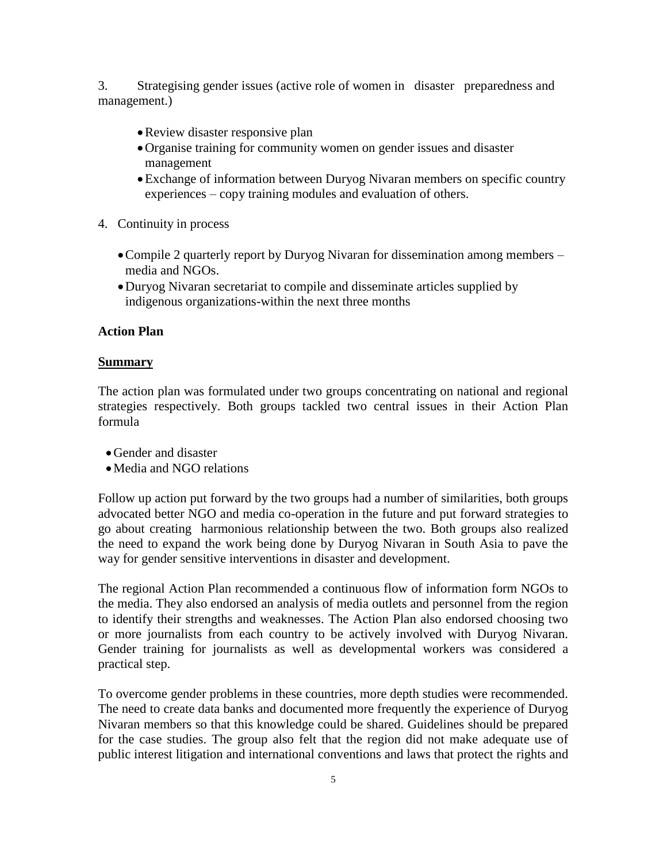3. Strategising gender issues (active role of women in disaster preparedness and management.)

- Review disaster responsive plan
- Organise training for community women on gender issues and disaster management
- Exchange of information between Duryog Nivaran members on specific country experiences – copy training modules and evaluation of others.
- 4. Continuity in process
	- Compile 2 quarterly report by Duryog Nivaran for dissemination among members media and NGOs.
	- Duryog Nivaran secretariat to compile and disseminate articles supplied by indigenous organizations-within the next three months

## **Action Plan**

### **Summary**

The action plan was formulated under two groups concentrating on national and regional strategies respectively. Both groups tackled two central issues in their Action Plan formula

- Gender and disaster
- Media and NGO relations

Follow up action put forward by the two groups had a number of similarities, both groups advocated better NGO and media co-operation in the future and put forward strategies to go about creating harmonious relationship between the two. Both groups also realized the need to expand the work being done by Duryog Nivaran in South Asia to pave the way for gender sensitive interventions in disaster and development.

The regional Action Plan recommended a continuous flow of information form NGOs to the media. They also endorsed an analysis of media outlets and personnel from the region to identify their strengths and weaknesses. The Action Plan also endorsed choosing two or more journalists from each country to be actively involved with Duryog Nivaran. Gender training for journalists as well as developmental workers was considered a practical step.

To overcome gender problems in these countries, more depth studies were recommended. The need to create data banks and documented more frequently the experience of Duryog Nivaran members so that this knowledge could be shared. Guidelines should be prepared for the case studies. The group also felt that the region did not make adequate use of public interest litigation and international conventions and laws that protect the rights and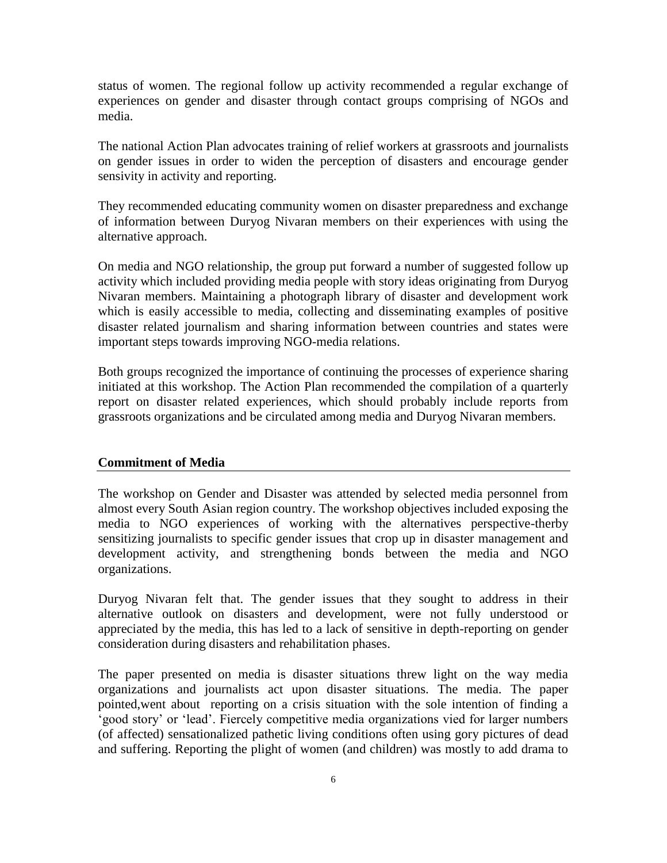status of women. The regional follow up activity recommended a regular exchange of experiences on gender and disaster through contact groups comprising of NGOs and media.

The national Action Plan advocates training of relief workers at grassroots and journalists on gender issues in order to widen the perception of disasters and encourage gender sensivity in activity and reporting.

They recommended educating community women on disaster preparedness and exchange of information between Duryog Nivaran members on their experiences with using the alternative approach.

On media and NGO relationship, the group put forward a number of suggested follow up activity which included providing media people with story ideas originating from Duryog Nivaran members. Maintaining a photograph library of disaster and development work which is easily accessible to media, collecting and disseminating examples of positive disaster related journalism and sharing information between countries and states were important steps towards improving NGO-media relations.

Both groups recognized the importance of continuing the processes of experience sharing initiated at this workshop. The Action Plan recommended the compilation of a quarterly report on disaster related experiences, which should probably include reports from grassroots organizations and be circulated among media and Duryog Nivaran members.

### **Commitment of Media**

The workshop on Gender and Disaster was attended by selected media personnel from almost every South Asian region country. The workshop objectives included exposing the media to NGO experiences of working with the alternatives perspective-therby sensitizing journalists to specific gender issues that crop up in disaster management and development activity, and strengthening bonds between the media and NGO organizations.

Duryog Nivaran felt that. The gender issues that they sought to address in their alternative outlook on disasters and development, were not fully understood or appreciated by the media, this has led to a lack of sensitive in depth-reporting on gender consideration during disasters and rehabilitation phases.

The paper presented on media is disaster situations threw light on the way media organizations and journalists act upon disaster situations. The media. The paper pointed,went about reporting on a crisis situation with the sole intention of finding a 'good story' or 'lead'. Fiercely competitive media organizations vied for larger numbers (of affected) sensationalized pathetic living conditions often using gory pictures of dead and suffering. Reporting the plight of women (and children) was mostly to add drama to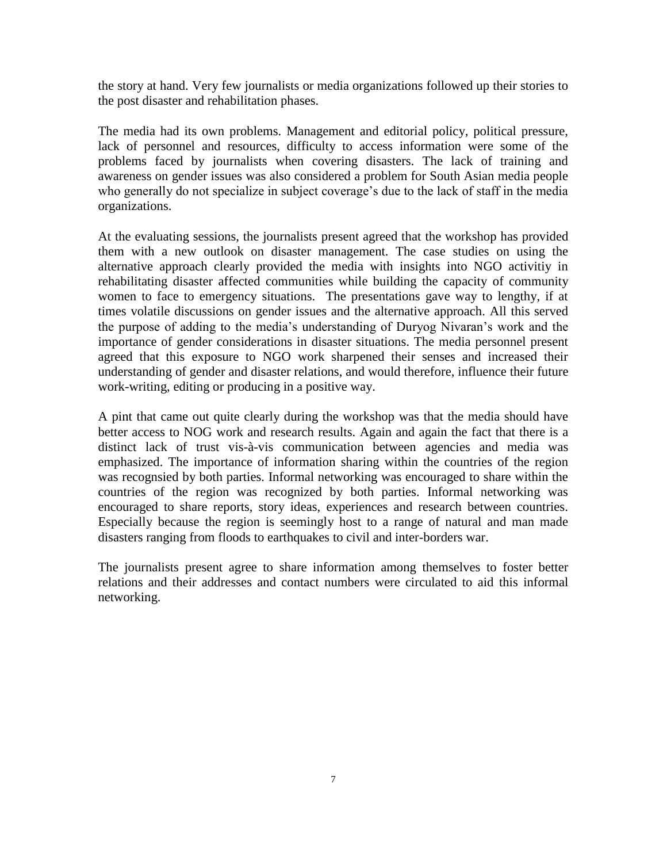the story at hand. Very few journalists or media organizations followed up their stories to the post disaster and rehabilitation phases.

The media had its own problems. Management and editorial policy, political pressure, lack of personnel and resources, difficulty to access information were some of the problems faced by journalists when covering disasters. The lack of training and awareness on gender issues was also considered a problem for South Asian media people who generally do not specialize in subject coverage's due to the lack of staff in the media organizations.

At the evaluating sessions, the journalists present agreed that the workshop has provided them with a new outlook on disaster management. The case studies on using the alternative approach clearly provided the media with insights into NGO activitiy in rehabilitating disaster affected communities while building the capacity of community women to face to emergency situations. The presentations gave way to lengthy, if at times volatile discussions on gender issues and the alternative approach. All this served the purpose of adding to the media's understanding of Duryog Nivaran's work and the importance of gender considerations in disaster situations. The media personnel present agreed that this exposure to NGO work sharpened their senses and increased their understanding of gender and disaster relations, and would therefore, influence their future work-writing, editing or producing in a positive way.

A pint that came out quite clearly during the workshop was that the media should have better access to NOG work and research results. Again and again the fact that there is a distinct lack of trust vis-à-vis communication between agencies and media was emphasized. The importance of information sharing within the countries of the region was recognsied by both parties. Informal networking was encouraged to share within the countries of the region was recognized by both parties. Informal networking was encouraged to share reports, story ideas, experiences and research between countries. Especially because the region is seemingly host to a range of natural and man made disasters ranging from floods to earthquakes to civil and inter-borders war.

The journalists present agree to share information among themselves to foster better relations and their addresses and contact numbers were circulated to aid this informal networking.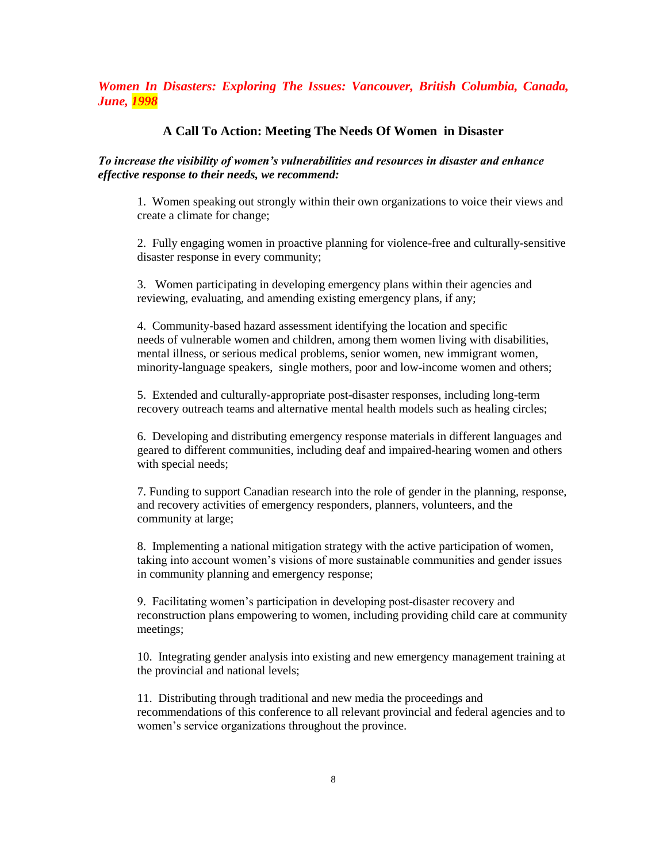*Women In Disasters: Exploring The Issues: Vancouver, British Columbia, Canada, June, 1998*

#### **A Call To Action: Meeting The Needs Of Women in Disaster**

#### *To increase the visibility of women's vulnerabilities and resources in disaster and enhance effective response to their needs, we recommend:*

1. Women speaking out strongly within their own organizations to voice their views and create a climate for change;

2. Fully engaging women in proactive planning for violence-free and culturally-sensitive disaster response in every community;

3. Women participating in developing emergency plans within their agencies and reviewing, evaluating, and amending existing emergency plans, if any;

4. Community-based hazard assessment identifying the location and specific needs of vulnerable women and children, among them women living with disabilities, mental illness, or serious medical problems, senior women, new immigrant women, minority-language speakers, single mothers, poor and low-income women and others;

5. Extended and culturally-appropriate post-disaster responses, including long-term recovery outreach teams and alternative mental health models such as healing circles;

6. Developing and distributing emergency response materials in different languages and geared to different communities, including deaf and impaired-hearing women and others with special needs;

7. Funding to support Canadian research into the role of gender in the planning, response, and recovery activities of emergency responders, planners, volunteers, and the community at large;

8. Implementing a national mitigation strategy with the active participation of women, taking into account women's visions of more sustainable communities and gender issues in community planning and emergency response;

9. Facilitating women's participation in developing post-disaster recovery and reconstruction plans empowering to women, including providing child care at community meetings;

10. Integrating gender analysis into existing and new emergency management training at the provincial and national levels;

11. Distributing through traditional and new media the proceedings and recommendations of this conference to all relevant provincial and federal agencies and to women's service organizations throughout the province.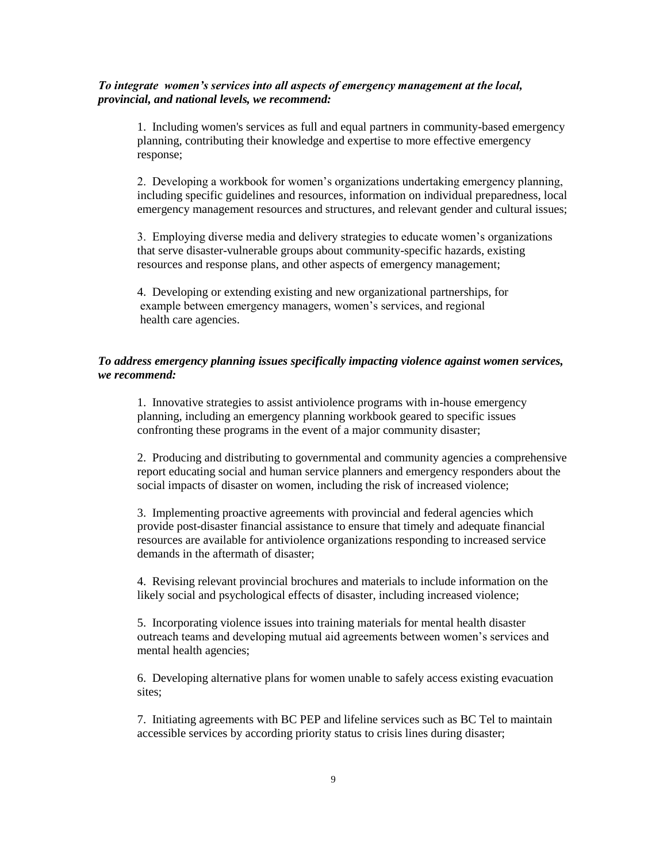#### *To integrate women's services into all aspects of emergency management at the local, provincial, and national levels, we recommend:*

1. Including women's services as full and equal partners in community-based emergency planning, contributing their knowledge and expertise to more effective emergency response;

2. Developing a workbook for women's organizations undertaking emergency planning, including specific guidelines and resources, information on individual preparedness, local emergency management resources and structures, and relevant gender and cultural issues;

3. Employing diverse media and delivery strategies to educate women's organizations that serve disaster-vulnerable groups about community-specific hazards, existing resources and response plans, and other aspects of emergency management;

4. Developing or extending existing and new organizational partnerships, for example between emergency managers, women's services, and regional health care agencies.

#### *To address emergency planning issues specifically impacting violence against women services, we recommend:*

1. Innovative strategies to assist antiviolence programs with in-house emergency planning, including an emergency planning workbook geared to specific issues confronting these programs in the event of a major community disaster;

2. Producing and distributing to governmental and community agencies a comprehensive report educating social and human service planners and emergency responders about the social impacts of disaster on women, including the risk of increased violence;

3. Implementing proactive agreements with provincial and federal agencies which provide post-disaster financial assistance to ensure that timely and adequate financial resources are available for antiviolence organizations responding to increased service demands in the aftermath of disaster;

4. Revising relevant provincial brochures and materials to include information on the likely social and psychological effects of disaster, including increased violence;

5. Incorporating violence issues into training materials for mental health disaster outreach teams and developing mutual aid agreements between women's services and mental health agencies;

6. Developing alternative plans for women unable to safely access existing evacuation sites:

7. Initiating agreements with BC PEP and lifeline services such as BC Tel to maintain accessible services by according priority status to crisis lines during disaster;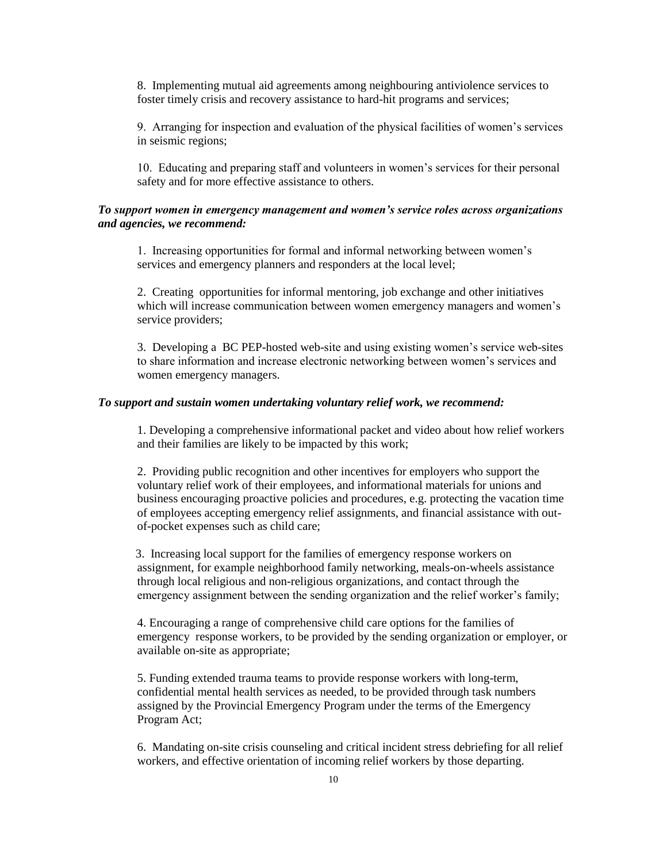8. Implementing mutual aid agreements among neighbouring antiviolence services to foster timely crisis and recovery assistance to hard-hit programs and services;

9. Arranging for inspection and evaluation of the physical facilities of women's services in seismic regions;

10. Educating and preparing staff and volunteers in women's services for their personal safety and for more effective assistance to others.

#### *To support women in emergency management and women's service roles across organizations and agencies, we recommend:*

1. Increasing opportunities for formal and informal networking between women's services and emergency planners and responders at the local level;

2. Creating opportunities for informal mentoring, job exchange and other initiatives which will increase communication between women emergency managers and women's service providers;

3. Developing a BC PEP-hosted web-site and using existing women's service web-sites to share information and increase electronic networking between women's services and women emergency managers.

#### *To support and sustain women undertaking voluntary relief work, we recommend:*

1. Developing a comprehensive informational packet and video about how relief workers and their families are likely to be impacted by this work;

2. Providing public recognition and other incentives for employers who support the voluntary relief work of their employees, and informational materials for unions and business encouraging proactive policies and procedures, e.g. protecting the vacation time of employees accepting emergency relief assignments, and financial assistance with outof-pocket expenses such as child care;

 3. Increasing local support for the families of emergency response workers on assignment, for example neighborhood family networking, meals-on-wheels assistance through local religious and non-religious organizations, and contact through the emergency assignment between the sending organization and the relief worker's family;

4. Encouraging a range of comprehensive child care options for the families of emergency response workers, to be provided by the sending organization or employer, or available on-site as appropriate;

5. Funding extended trauma teams to provide response workers with long-term, confidential mental health services as needed, to be provided through task numbers assigned by the Provincial Emergency Program under the terms of the Emergency Program Act;

6. Mandating on-site crisis counseling and critical incident stress debriefing for all relief workers, and effective orientation of incoming relief workers by those departing.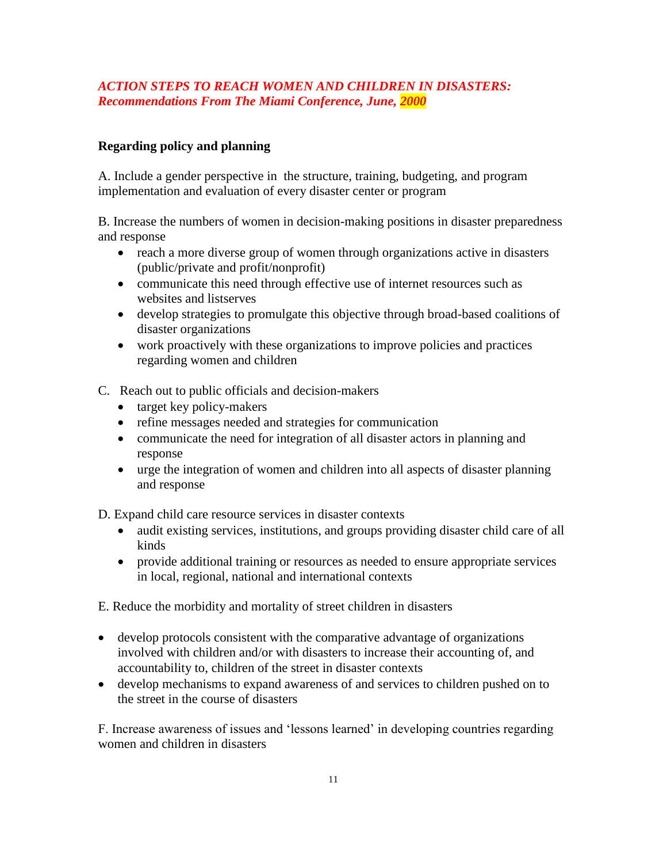# *ACTION STEPS TO REACH WOMEN AND CHILDREN IN DISASTERS: Recommendations From The Miami Conference, June, 2000*

# **Regarding policy and planning**

A. Include a gender perspective in the structure, training, budgeting, and program implementation and evaluation of every disaster center or program

B. Increase the numbers of women in decision-making positions in disaster preparedness and response

- reach a more diverse group of women through organizations active in disasters (public/private and profit/nonprofit)
- communicate this need through effective use of internet resources such as websites and listserves
- develop strategies to promulgate this objective through broad-based coalitions of disaster organizations
- work proactively with these organizations to improve policies and practices regarding women and children
- C. Reach out to public officials and decision-makers
	- target key policy-makers
	- refine messages needed and strategies for communication
	- communicate the need for integration of all disaster actors in planning and response
	- urge the integration of women and children into all aspects of disaster planning and response

D. Expand child care resource services in disaster contexts

- audit existing services, institutions, and groups providing disaster child care of all kinds
- provide additional training or resources as needed to ensure appropriate services in local, regional, national and international contexts

E. Reduce the morbidity and mortality of street children in disasters

- develop protocols consistent with the comparative advantage of organizations involved with children and/or with disasters to increase their accounting of, and accountability to, children of the street in disaster contexts
- develop mechanisms to expand awareness of and services to children pushed on to the street in the course of disasters

F. Increase awareness of issues and 'lessons learned' in developing countries regarding women and children in disasters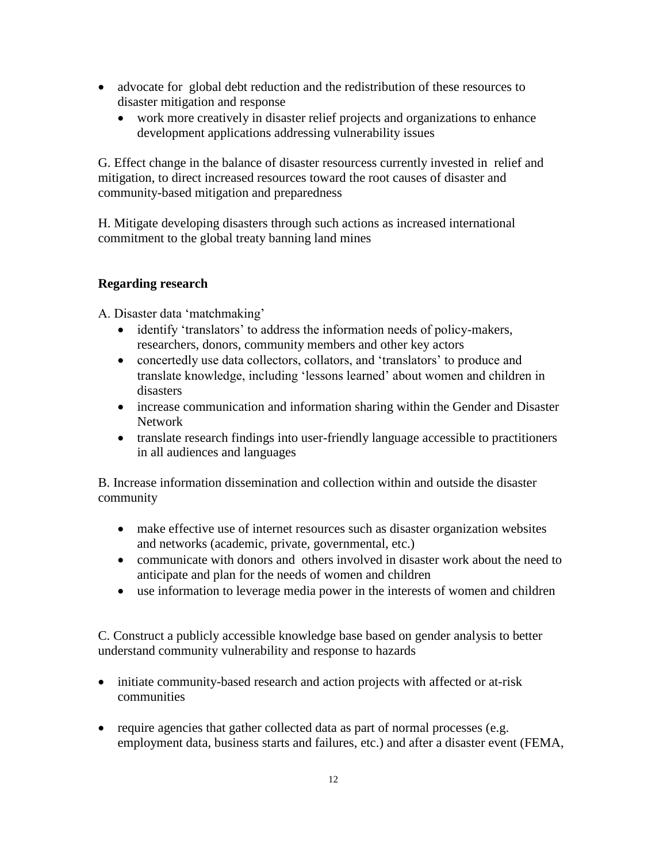- advocate for global debt reduction and the redistribution of these resources to disaster mitigation and response
	- work more creatively in disaster relief projects and organizations to enhance development applications addressing vulnerability issues

G. Effect change in the balance of disaster resourcess currently invested in relief and mitigation, to direct increased resources toward the root causes of disaster and community-based mitigation and preparedness

H. Mitigate developing disasters through such actions as increased international commitment to the global treaty banning land mines

# **Regarding research**

A. Disaster data 'matchmaking'

- identify 'translators' to address the information needs of policy-makers, researchers, donors, community members and other key actors
- concertedly use data collectors, collators, and 'translators' to produce and translate knowledge, including 'lessons learned' about women and children in disasters
- increase communication and information sharing within the Gender and Disaster Network
- translate research findings into user-friendly language accessible to practitioners in all audiences and languages

B. Increase information dissemination and collection within and outside the disaster community

- make effective use of internet resources such as disaster organization websites and networks (academic, private, governmental, etc.)
- communicate with donors and others involved in disaster work about the need to anticipate and plan for the needs of women and children
- use information to leverage media power in the interests of women and children

C. Construct a publicly accessible knowledge base based on gender analysis to better understand community vulnerability and response to hazards

- initiate community-based research and action projects with affected or at-risk communities
- require agencies that gather collected data as part of normal processes (e.g. employment data, business starts and failures, etc.) and after a disaster event (FEMA,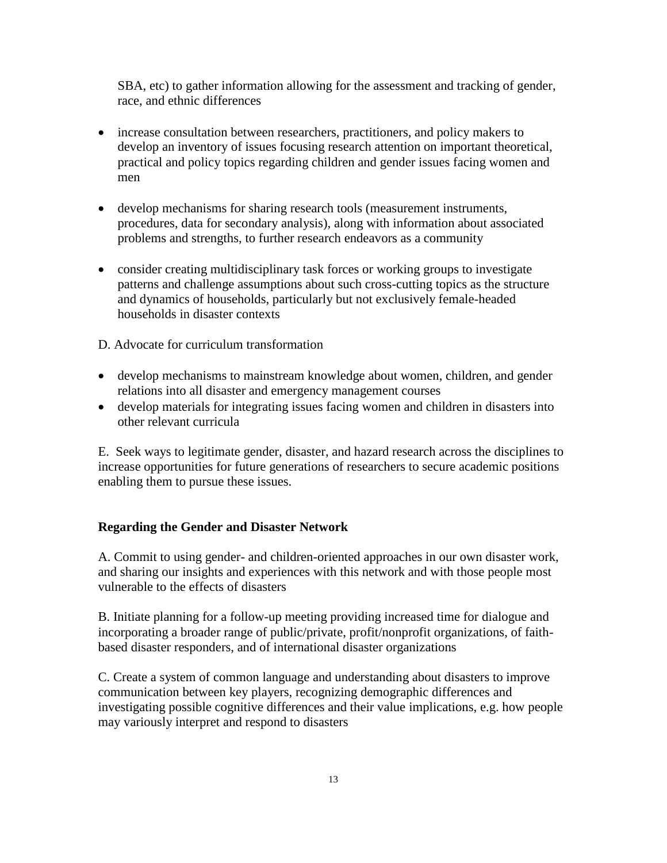SBA, etc) to gather information allowing for the assessment and tracking of gender, race, and ethnic differences

- increase consultation between researchers, practitioners, and policy makers to develop an inventory of issues focusing research attention on important theoretical, practical and policy topics regarding children and gender issues facing women and men
- develop mechanisms for sharing research tools (measurement instruments, procedures, data for secondary analysis), along with information about associated problems and strengths, to further research endeavors as a community
- consider creating multidisciplinary task forces or working groups to investigate patterns and challenge assumptions about such cross-cutting topics as the structure and dynamics of households, particularly but not exclusively female-headed households in disaster contexts

D. Advocate for curriculum transformation

- develop mechanisms to mainstream knowledge about women, children, and gender relations into all disaster and emergency management courses
- develop materials for integrating issues facing women and children in disasters into other relevant curricula

E. Seek ways to legitimate gender, disaster, and hazard research across the disciplines to increase opportunities for future generations of researchers to secure academic positions enabling them to pursue these issues.

## **Regarding the Gender and Disaster Network**

A. Commit to using gender- and children-oriented approaches in our own disaster work, and sharing our insights and experiences with this network and with those people most vulnerable to the effects of disasters

B. Initiate planning for a follow-up meeting providing increased time for dialogue and incorporating a broader range of public/private, profit/nonprofit organizations, of faithbased disaster responders, and of international disaster organizations

C. Create a system of common language and understanding about disasters to improve communication between key players, recognizing demographic differences and investigating possible cognitive differences and their value implications, e.g. how people may variously interpret and respond to disasters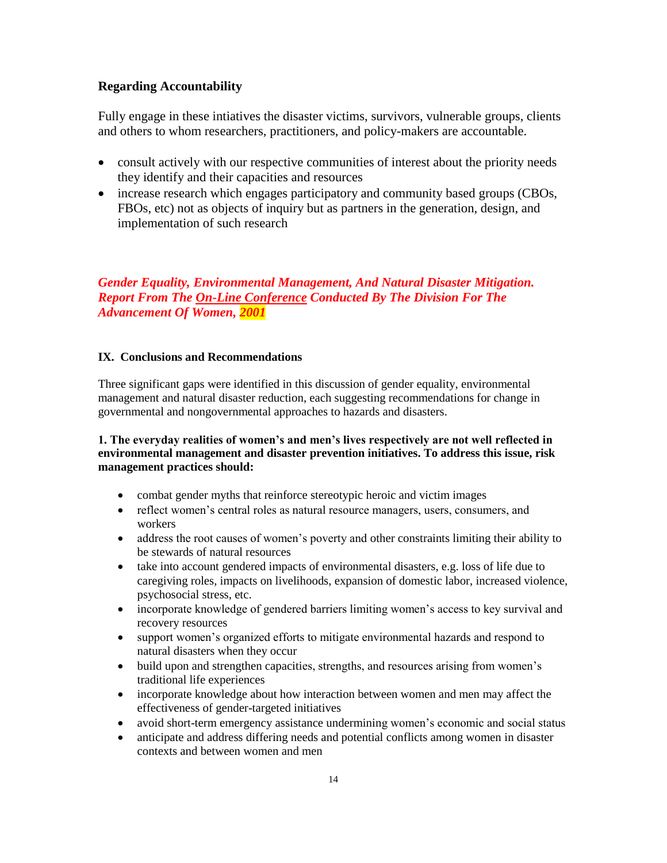### **Regarding Accountability**

Fully engage in these intiatives the disaster victims, survivors, vulnerable groups, clients and others to whom researchers, practitioners, and policy-makers are accountable.

- consult actively with our respective communities of interest about the priority needs they identify and their capacities and resources
- increase research which engages participatory and community based groups (CBOs, FBOs, etc) not as objects of inquiry but as partners in the generation, design, and implementation of such research

*Gender Equality, Environmental Management, And Natural Disaster Mitigation. Report From The On-Line Conference Conducted By The Division For The Advancement Of Women, 2001*

### **IX. Conclusions and Recommendations**

Three significant gaps were identified in this discussion of gender equality, environmental management and natural disaster reduction, each suggesting recommendations for change in governmental and nongovernmental approaches to hazards and disasters.

### **1. The everyday realities of women's and men's lives respectively are not well reflected in environmental management and disaster prevention initiatives. To address this issue, risk management practices should:**

- combat gender myths that reinforce stereotypic heroic and victim images
- reflect women's central roles as natural resource managers, users, consumers, and workers
- address the root causes of women's poverty and other constraints limiting their ability to be stewards of natural resources
- take into account gendered impacts of environmental disasters, e.g. loss of life due to caregiving roles, impacts on livelihoods, expansion of domestic labor, increased violence, psychosocial stress, etc.
- incorporate knowledge of gendered barriers limiting women's access to key survival and recovery resources
- support women's organized efforts to mitigate environmental hazards and respond to natural disasters when they occur
- build upon and strengthen capacities, strengths, and resources arising from women's traditional life experiences
- incorporate knowledge about how interaction between women and men may affect the effectiveness of gender-targeted initiatives
- avoid short-term emergency assistance undermining women's economic and social status
- anticipate and address differing needs and potential conflicts among women in disaster contexts and between women and men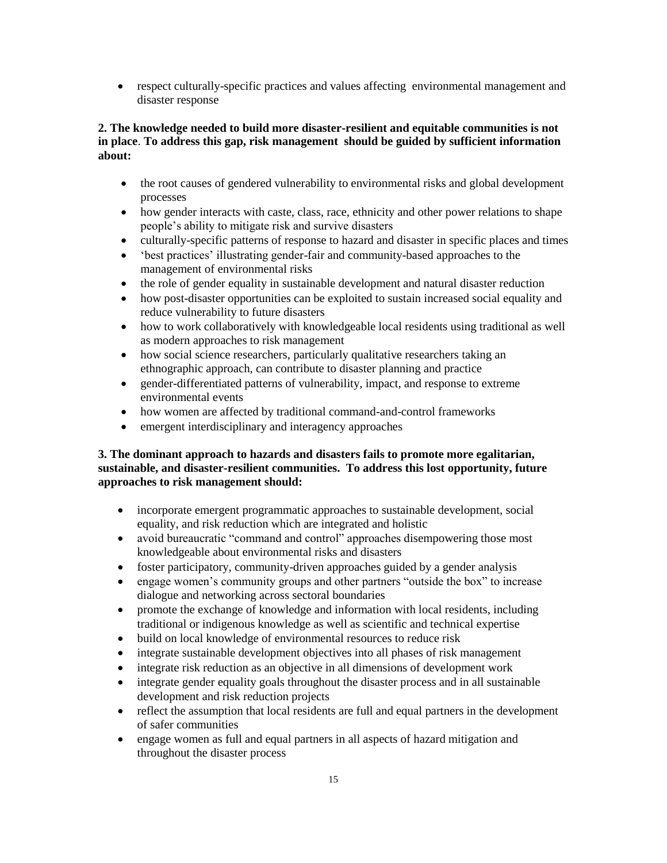respect culturally-specific practices and values affecting environmental management and disaster response

## **2. The knowledge needed to build more disaster-resilient and equitable communities is not in place**. **To address this gap, risk management should be guided by sufficient information about:**

- the root causes of gendered vulnerability to environmental risks and global development processes
- how gender interacts with caste, class, race, ethnicity and other power relations to shape people's ability to mitigate risk and survive disasters
- culturally-specific patterns of response to hazard and disaster in specific places and times
- 'best practices' illustrating gender-fair and community-based approaches to the management of environmental risks
- the role of gender equality in sustainable development and natural disaster reduction
- how post-disaster opportunities can be exploited to sustain increased social equality and reduce vulnerability to future disasters
- how to work collaboratively with knowledgeable local residents using traditional as well as modern approaches to risk management
- how social science researchers, particularly qualitative researchers taking an ethnographic approach, can contribute to disaster planning and practice
- gender-differentiated patterns of vulnerability, impact, and response to extreme environmental events
- how women are affected by traditional command-and-control frameworks
- emergent interdisciplinary and interagency approaches

### **3. The dominant approach to hazards and disasters fails to promote more egalitarian, sustainable, and disaster-resilient communities. To address this lost opportunity, future approaches to risk management should:**

- incorporate emergent programmatic approaches to sustainable development, social equality, and risk reduction which are integrated and holistic
- avoid bureaucratic "command and control" approaches disempowering those most knowledgeable about environmental risks and disasters
- foster participatory, community-driven approaches guided by a gender analysis
- engage women's community groups and other partners "outside the box" to increase dialogue and networking across sectoral boundaries
- promote the exchange of knowledge and information with local residents, including traditional or indigenous knowledge as well as scientific and technical expertise
- build on local knowledge of environmental resources to reduce risk
- integrate sustainable development objectives into all phases of risk management
- integrate risk reduction as an objective in all dimensions of development work
- integrate gender equality goals throughout the disaster process and in all sustainable development and risk reduction projects
- reflect the assumption that local residents are full and equal partners in the development of safer communities
- engage women as full and equal partners in all aspects of hazard mitigation and throughout the disaster process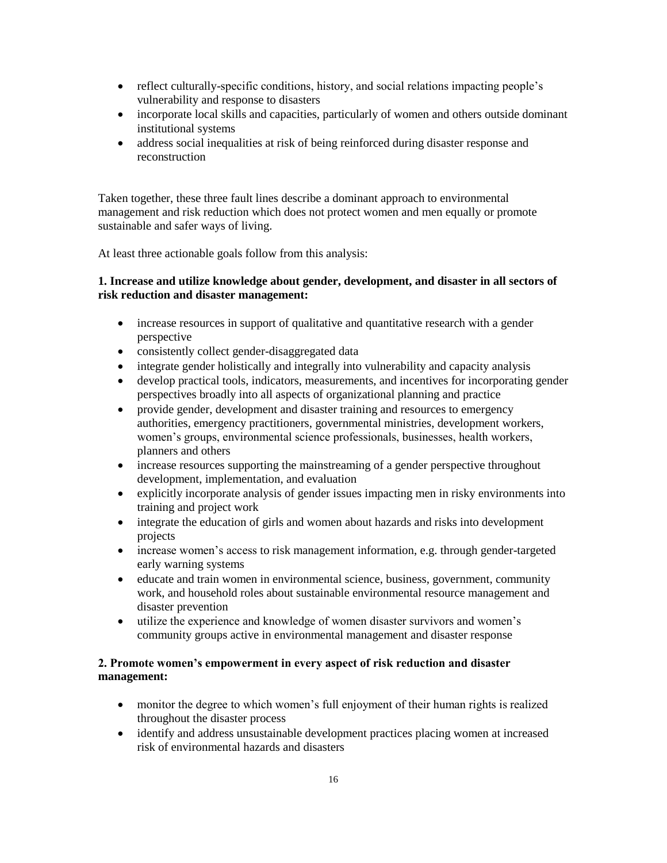- reflect culturally-specific conditions, history, and social relations impacting people's vulnerability and response to disasters
- incorporate local skills and capacities, particularly of women and others outside dominant institutional systems
- address social inequalities at risk of being reinforced during disaster response and reconstruction

Taken together, these three fault lines describe a dominant approach to environmental management and risk reduction which does not protect women and men equally or promote sustainable and safer ways of living.

At least three actionable goals follow from this analysis:

### **1. Increase and utilize knowledge about gender, development, and disaster in all sectors of risk reduction and disaster management:**

- increase resources in support of qualitative and quantitative research with a gender perspective
- consistently collect gender-disaggregated data
- integrate gender holistically and integrally into vulnerability and capacity analysis
- develop practical tools, indicators, measurements, and incentives for incorporating gender perspectives broadly into all aspects of organizational planning and practice
- provide gender, development and disaster training and resources to emergency authorities, emergency practitioners, governmental ministries, development workers, women's groups, environmental science professionals, businesses, health workers, planners and others
- increase resources supporting the mainstreaming of a gender perspective throughout development, implementation, and evaluation
- explicitly incorporate analysis of gender issues impacting men in risky environments into training and project work
- integrate the education of girls and women about hazards and risks into development projects
- increase women's access to risk management information, e.g. through gender-targeted early warning systems
- educate and train women in environmental science, business, government, community work, and household roles about sustainable environmental resource management and disaster prevention
- utilize the experience and knowledge of women disaster survivors and women's community groups active in environmental management and disaster response

### **2. Promote women's empowerment in every aspect of risk reduction and disaster management:**

- monitor the degree to which women's full enjoyment of their human rights is realized throughout the disaster process
- identify and address unsustainable development practices placing women at increased risk of environmental hazards and disasters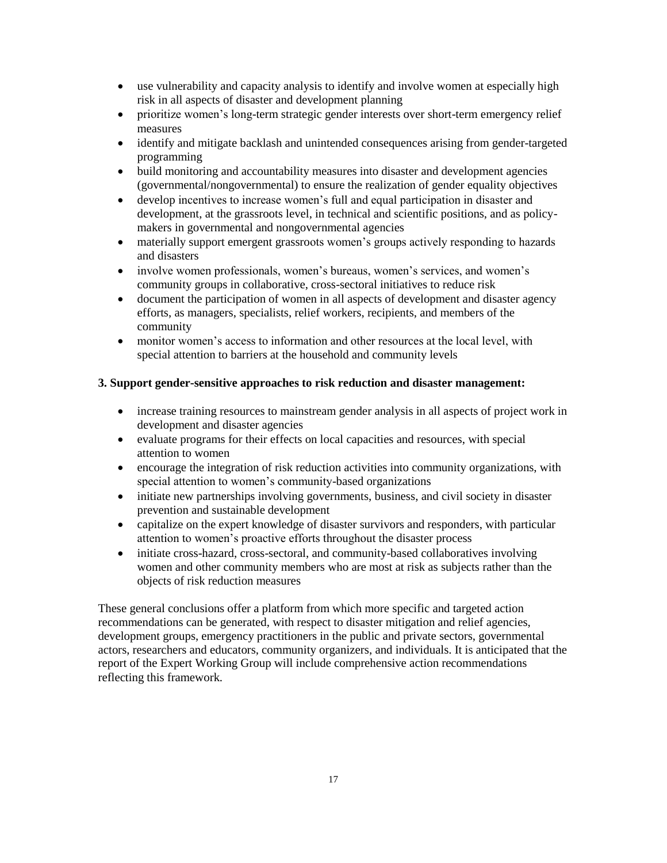- use vulnerability and capacity analysis to identify and involve women at especially high risk in all aspects of disaster and development planning
- prioritize women's long-term strategic gender interests over short-term emergency relief measures
- identify and mitigate backlash and unintended consequences arising from gender-targeted programming
- build monitoring and accountability measures into disaster and development agencies (governmental/nongovernmental) to ensure the realization of gender equality objectives
- develop incentives to increase women's full and equal participation in disaster and development, at the grassroots level, in technical and scientific positions, and as policymakers in governmental and nongovernmental agencies
- materially support emergent grassroots women's groups actively responding to hazards and disasters
- involve women professionals, women's bureaus, women's services, and women's community groups in collaborative, cross-sectoral initiatives to reduce risk
- document the participation of women in all aspects of development and disaster agency efforts, as managers, specialists, relief workers, recipients, and members of the community
- monitor women's access to information and other resources at the local level, with special attention to barriers at the household and community levels

## **3. Support gender-sensitive approaches to risk reduction and disaster management:**

- increase training resources to mainstream gender analysis in all aspects of project work in development and disaster agencies
- evaluate programs for their effects on local capacities and resources, with special attention to women
- encourage the integration of risk reduction activities into community organizations, with special attention to women's community-based organizations
- initiate new partnerships involving governments, business, and civil society in disaster prevention and sustainable development
- capitalize on the expert knowledge of disaster survivors and responders, with particular attention to women's proactive efforts throughout the disaster process
- initiate cross-hazard, cross-sectoral, and community-based collaboratives involving women and other community members who are most at risk as subjects rather than the objects of risk reduction measures

These general conclusions offer a platform from which more specific and targeted action recommendations can be generated, with respect to disaster mitigation and relief agencies, development groups, emergency practitioners in the public and private sectors, governmental actors, researchers and educators, community organizers, and individuals. It is anticipated that the report of the Expert Working Group will include comprehensive action recommendations reflecting this framework.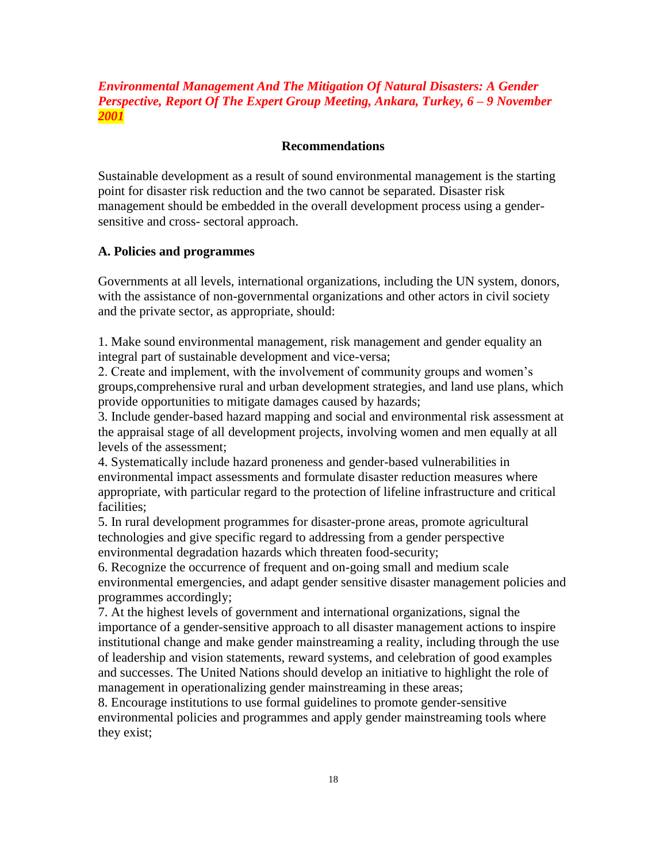# *Environmental Management And The Mitigation Of Natural Disasters: A Gender Perspective, Report Of The Expert Group Meeting, Ankara, Turkey, 6 – 9 November 2001*

### **Recommendations**

Sustainable development as a result of sound environmental management is the starting point for disaster risk reduction and the two cannot be separated. Disaster risk management should be embedded in the overall development process using a gendersensitive and cross- sectoral approach.

### **A. Policies and programmes**

Governments at all levels, international organizations, including the UN system, donors, with the assistance of non-governmental organizations and other actors in civil society and the private sector, as appropriate, should:

1. Make sound environmental management, risk management and gender equality an integral part of sustainable development and vice-versa;

2. Create and implement, with the involvement of community groups and women's groups,comprehensive rural and urban development strategies, and land use plans, which provide opportunities to mitigate damages caused by hazards;

3. Include gender-based hazard mapping and social and environmental risk assessment at the appraisal stage of all development projects, involving women and men equally at all levels of the assessment;

4. Systematically include hazard proneness and gender-based vulnerabilities in environmental impact assessments and formulate disaster reduction measures where appropriate, with particular regard to the protection of lifeline infrastructure and critical facilities;

5. In rural development programmes for disaster-prone areas, promote agricultural technologies and give specific regard to addressing from a gender perspective environmental degradation hazards which threaten food-security;

6. Recognize the occurrence of frequent and on-going small and medium scale environmental emergencies, and adapt gender sensitive disaster management policies and programmes accordingly;

7. At the highest levels of government and international organizations, signal the importance of a gender-sensitive approach to all disaster management actions to inspire institutional change and make gender mainstreaming a reality, including through the use of leadership and vision statements, reward systems, and celebration of good examples and successes. The United Nations should develop an initiative to highlight the role of management in operationalizing gender mainstreaming in these areas;

8. Encourage institutions to use formal guidelines to promote gender-sensitive environmental policies and programmes and apply gender mainstreaming tools where they exist;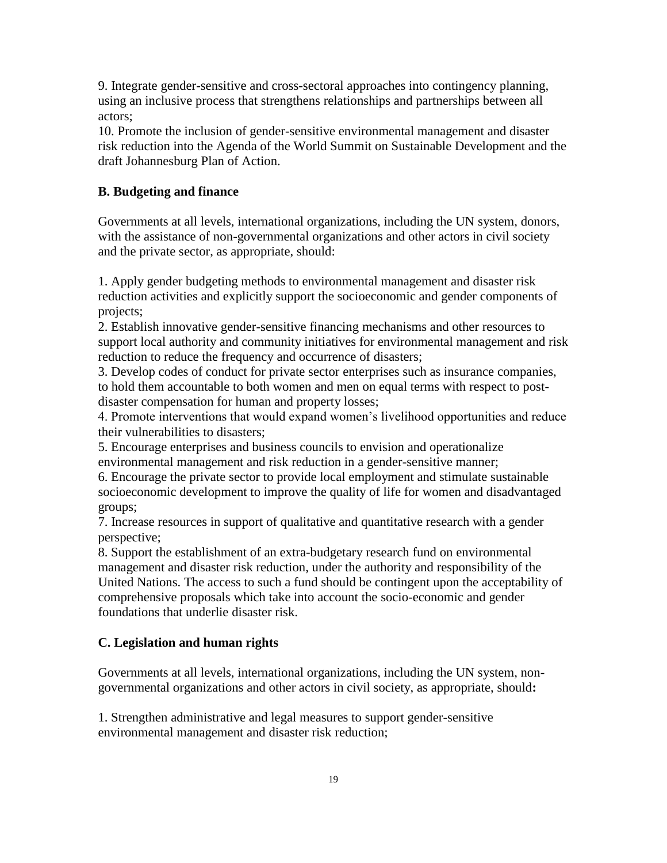9. Integrate gender-sensitive and cross-sectoral approaches into contingency planning, using an inclusive process that strengthens relationships and partnerships between all actors;

10. Promote the inclusion of gender-sensitive environmental management and disaster risk reduction into the Agenda of the World Summit on Sustainable Development and the draft Johannesburg Plan of Action.

# **B. Budgeting and finance**

Governments at all levels, international organizations, including the UN system, donors, with the assistance of non-governmental organizations and other actors in civil society and the private sector, as appropriate, should:

1. Apply gender budgeting methods to environmental management and disaster risk reduction activities and explicitly support the socioeconomic and gender components of projects;

2. Establish innovative gender-sensitive financing mechanisms and other resources to support local authority and community initiatives for environmental management and risk reduction to reduce the frequency and occurrence of disasters;

3. Develop codes of conduct for private sector enterprises such as insurance companies, to hold them accountable to both women and men on equal terms with respect to postdisaster compensation for human and property losses;

4. Promote interventions that would expand women's livelihood opportunities and reduce their vulnerabilities to disasters;

5. Encourage enterprises and business councils to envision and operationalize

environmental management and risk reduction in a gender-sensitive manner;

6. Encourage the private sector to provide local employment and stimulate sustainable socioeconomic development to improve the quality of life for women and disadvantaged groups;

7. Increase resources in support of qualitative and quantitative research with a gender perspective;

8. Support the establishment of an extra-budgetary research fund on environmental management and disaster risk reduction, under the authority and responsibility of the United Nations. The access to such a fund should be contingent upon the acceptability of comprehensive proposals which take into account the socio-economic and gender foundations that underlie disaster risk.

## **C. Legislation and human rights**

Governments at all levels, international organizations, including the UN system, nongovernmental organizations and other actors in civil society, as appropriate, should**:**

1. Strengthen administrative and legal measures to support gender-sensitive environmental management and disaster risk reduction;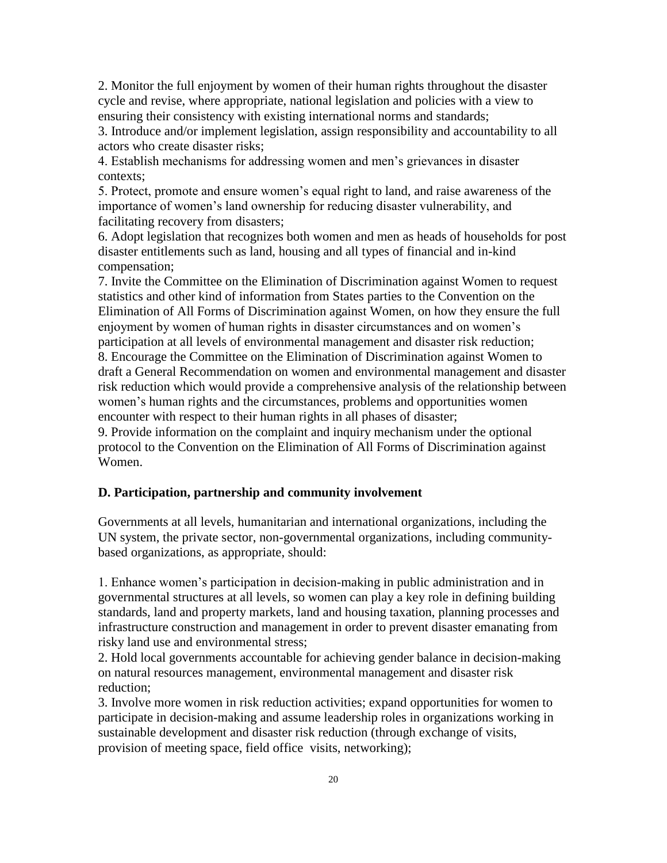2. Monitor the full enjoyment by women of their human rights throughout the disaster cycle and revise, where appropriate, national legislation and policies with a view to ensuring their consistency with existing international norms and standards;

3. Introduce and/or implement legislation, assign responsibility and accountability to all actors who create disaster risks;

4. Establish mechanisms for addressing women and men's grievances in disaster contexts;

5. Protect, promote and ensure women's equal right to land, and raise awareness of the importance of women's land ownership for reducing disaster vulnerability, and facilitating recovery from disasters;

6. Adopt legislation that recognizes both women and men as heads of households for post disaster entitlements such as land, housing and all types of financial and in-kind compensation;

7. Invite the Committee on the Elimination of Discrimination against Women to request statistics and other kind of information from States parties to the Convention on the Elimination of All Forms of Discrimination against Women, on how they ensure the full enjoyment by women of human rights in disaster circumstances and on women's participation at all levels of environmental management and disaster risk reduction;

8. Encourage the Committee on the Elimination of Discrimination against Women to draft a General Recommendation on women and environmental management and disaster risk reduction which would provide a comprehensive analysis of the relationship between women's human rights and the circumstances, problems and opportunities women encounter with respect to their human rights in all phases of disaster;

9. Provide information on the complaint and inquiry mechanism under the optional protocol to the Convention on the Elimination of All Forms of Discrimination against Women.

## **D. Participation, partnership and community involvement**

Governments at all levels, humanitarian and international organizations, including the UN system, the private sector, non-governmental organizations, including communitybased organizations, as appropriate, should:

1. Enhance women's participation in decision-making in public administration and in governmental structures at all levels, so women can play a key role in defining building standards, land and property markets, land and housing taxation, planning processes and infrastructure construction and management in order to prevent disaster emanating from risky land use and environmental stress;

2. Hold local governments accountable for achieving gender balance in decision-making on natural resources management, environmental management and disaster risk reduction;

3. Involve more women in risk reduction activities; expand opportunities for women to participate in decision-making and assume leadership roles in organizations working in sustainable development and disaster risk reduction (through exchange of visits, provision of meeting space, field office visits, networking);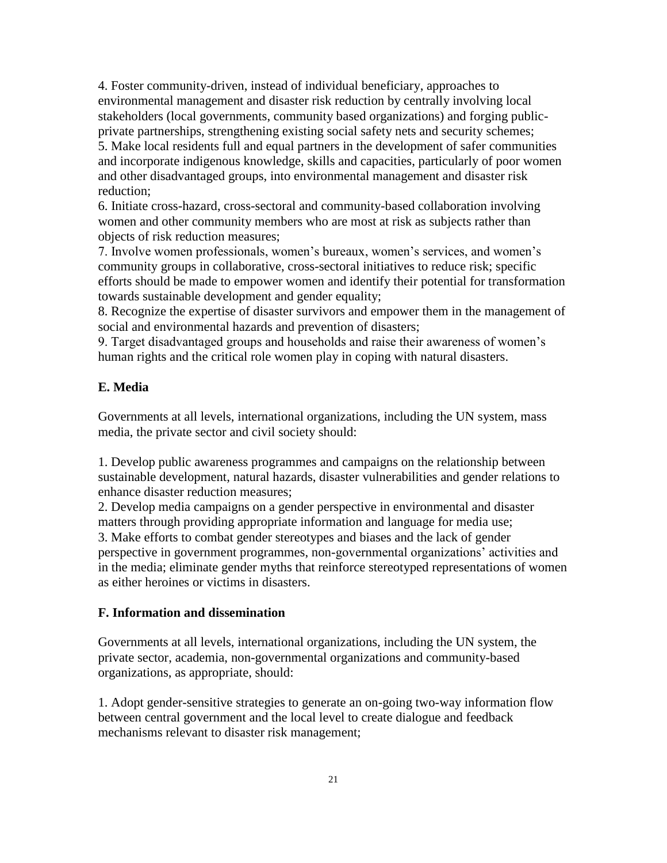4. Foster community-driven, instead of individual beneficiary, approaches to environmental management and disaster risk reduction by centrally involving local stakeholders (local governments, community based organizations) and forging publicprivate partnerships, strengthening existing social safety nets and security schemes; 5. Make local residents full and equal partners in the development of safer communities and incorporate indigenous knowledge, skills and capacities, particularly of poor women and other disadvantaged groups, into environmental management and disaster risk reduction;

6. Initiate cross-hazard, cross-sectoral and community-based collaboration involving women and other community members who are most at risk as subjects rather than objects of risk reduction measures;

7. Involve women professionals, women's bureaux, women's services, and women's community groups in collaborative, cross-sectoral initiatives to reduce risk; specific efforts should be made to empower women and identify their potential for transformation towards sustainable development and gender equality;

8. Recognize the expertise of disaster survivors and empower them in the management of social and environmental hazards and prevention of disasters;

9. Target disadvantaged groups and households and raise their awareness of women's human rights and the critical role women play in coping with natural disasters.

### **E. Media**

Governments at all levels, international organizations, including the UN system, mass media, the private sector and civil society should:

1. Develop public awareness programmes and campaigns on the relationship between sustainable development, natural hazards, disaster vulnerabilities and gender relations to enhance disaster reduction measures;

2. Develop media campaigns on a gender perspective in environmental and disaster matters through providing appropriate information and language for media use; 3. Make efforts to combat gender stereotypes and biases and the lack of gender perspective in government programmes, non-governmental organizations' activities and in the media; eliminate gender myths that reinforce stereotyped representations of women as either heroines or victims in disasters.

## **F. Information and dissemination**

Governments at all levels, international organizations, including the UN system, the private sector, academia, non-governmental organizations and community-based organizations, as appropriate, should:

1. Adopt gender-sensitive strategies to generate an on-going two-way information flow between central government and the local level to create dialogue and feedback mechanisms relevant to disaster risk management;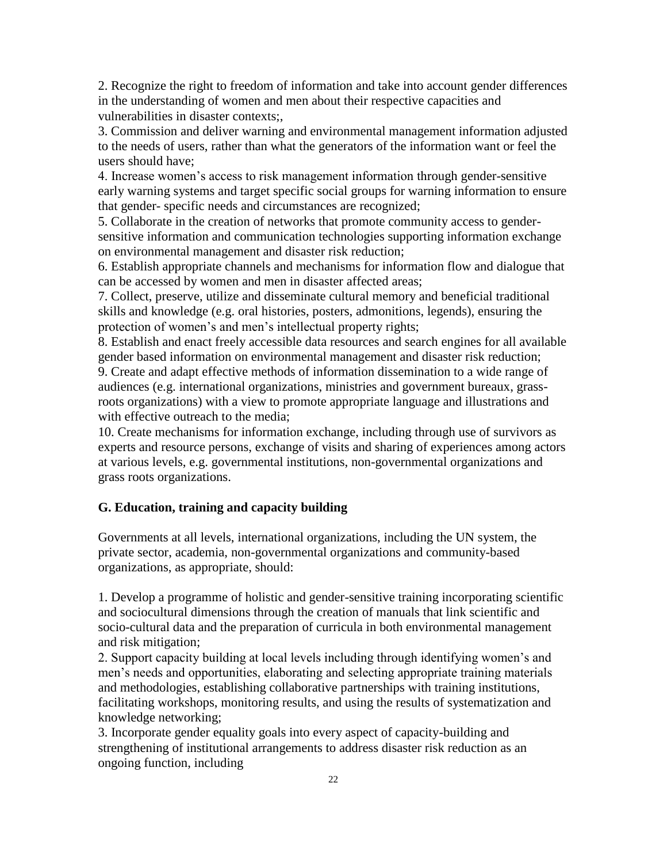2. Recognize the right to freedom of information and take into account gender differences in the understanding of women and men about their respective capacities and vulnerabilities in disaster contexts;,

3. Commission and deliver warning and environmental management information adjusted to the needs of users, rather than what the generators of the information want or feel the users should have;

4. Increase women's access to risk management information through gender-sensitive early warning systems and target specific social groups for warning information to ensure that gender- specific needs and circumstances are recognized;

5. Collaborate in the creation of networks that promote community access to gendersensitive information and communication technologies supporting information exchange on environmental management and disaster risk reduction;

6. Establish appropriate channels and mechanisms for information flow and dialogue that can be accessed by women and men in disaster affected areas;

7. Collect, preserve, utilize and disseminate cultural memory and beneficial traditional skills and knowledge (e.g. oral histories, posters, admonitions, legends), ensuring the protection of women's and men's intellectual property rights;

8. Establish and enact freely accessible data resources and search engines for all available gender based information on environmental management and disaster risk reduction;

9. Create and adapt effective methods of information dissemination to a wide range of audiences (e.g. international organizations, ministries and government bureaux, grassroots organizations) with a view to promote appropriate language and illustrations and with effective outreach to the media:

10. Create mechanisms for information exchange, including through use of survivors as experts and resource persons, exchange of visits and sharing of experiences among actors at various levels, e.g. governmental institutions, non-governmental organizations and grass roots organizations.

## **G. Education, training and capacity building**

Governments at all levels, international organizations, including the UN system, the private sector, academia, non-governmental organizations and community-based organizations, as appropriate, should:

1. Develop a programme of holistic and gender-sensitive training incorporating scientific and sociocultural dimensions through the creation of manuals that link scientific and socio-cultural data and the preparation of curricula in both environmental management and risk mitigation;

2. Support capacity building at local levels including through identifying women's and men's needs and opportunities, elaborating and selecting appropriate training materials and methodologies, establishing collaborative partnerships with training institutions, facilitating workshops, monitoring results, and using the results of systematization and knowledge networking;

3. Incorporate gender equality goals into every aspect of capacity-building and strengthening of institutional arrangements to address disaster risk reduction as an ongoing function, including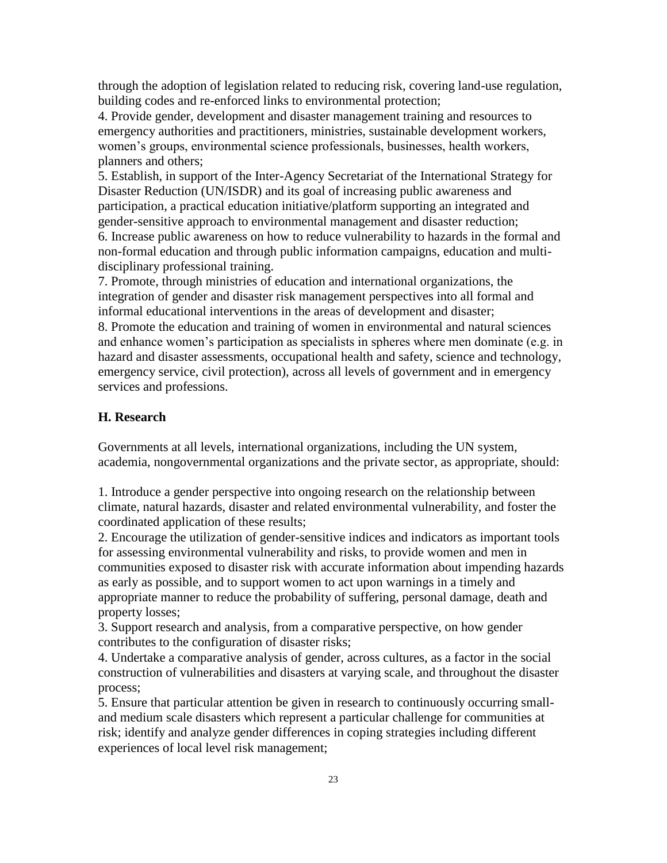through the adoption of legislation related to reducing risk, covering land-use regulation, building codes and re-enforced links to environmental protection;

4. Provide gender, development and disaster management training and resources to emergency authorities and practitioners, ministries, sustainable development workers, women's groups, environmental science professionals, businesses, health workers, planners and others;

5. Establish, in support of the Inter-Agency Secretariat of the International Strategy for Disaster Reduction (UN/ISDR) and its goal of increasing public awareness and participation, a practical education initiative/platform supporting an integrated and gender-sensitive approach to environmental management and disaster reduction; 6. Increase public awareness on how to reduce vulnerability to hazards in the formal and non-formal education and through public information campaigns, education and multidisciplinary professional training.

7. Promote, through ministries of education and international organizations, the integration of gender and disaster risk management perspectives into all formal and informal educational interventions in the areas of development and disaster; 8. Promote the education and training of women in environmental and natural sciences

and enhance women's participation as specialists in spheres where men dominate (e.g. in hazard and disaster assessments, occupational health and safety, science and technology, emergency service, civil protection), across all levels of government and in emergency services and professions.

### **H. Research**

Governments at all levels, international organizations, including the UN system, academia, nongovernmental organizations and the private sector, as appropriate, should:

1. Introduce a gender perspective into ongoing research on the relationship between climate, natural hazards, disaster and related environmental vulnerability, and foster the coordinated application of these results;

2. Encourage the utilization of gender-sensitive indices and indicators as important tools for assessing environmental vulnerability and risks, to provide women and men in communities exposed to disaster risk with accurate information about impending hazards as early as possible, and to support women to act upon warnings in a timely and appropriate manner to reduce the probability of suffering, personal damage, death and property losses;

3. Support research and analysis, from a comparative perspective, on how gender contributes to the configuration of disaster risks;

4. Undertake a comparative analysis of gender, across cultures, as a factor in the social construction of vulnerabilities and disasters at varying scale, and throughout the disaster process;

5. Ensure that particular attention be given in research to continuously occurring smalland medium scale disasters which represent a particular challenge for communities at risk; identify and analyze gender differences in coping strategies including different experiences of local level risk management;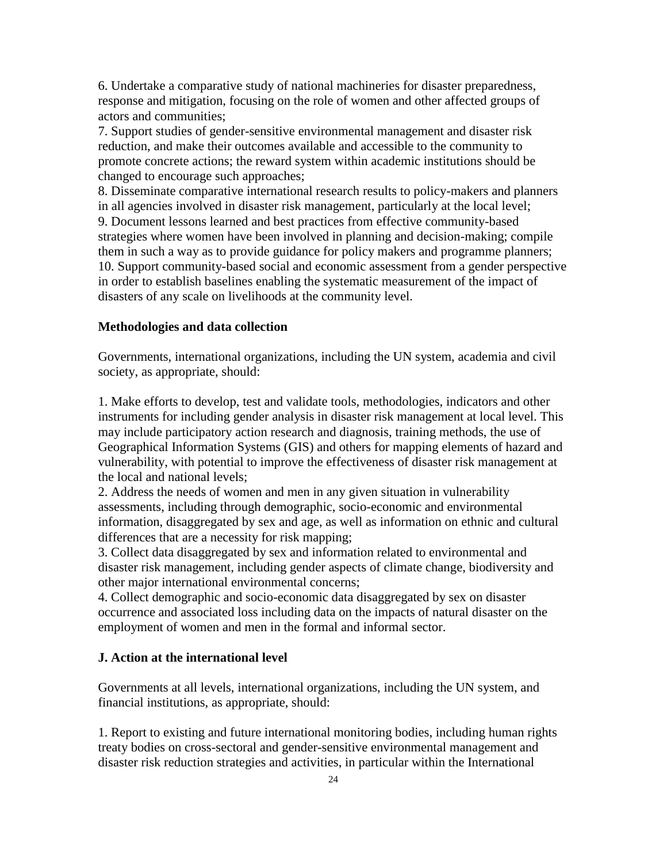6. Undertake a comparative study of national machineries for disaster preparedness, response and mitigation, focusing on the role of women and other affected groups of actors and communities;

7. Support studies of gender-sensitive environmental management and disaster risk reduction, and make their outcomes available and accessible to the community to promote concrete actions; the reward system within academic institutions should be changed to encourage such approaches;

8. Disseminate comparative international research results to policy-makers and planners in all agencies involved in disaster risk management, particularly at the local level; 9. Document lessons learned and best practices from effective community-based strategies where women have been involved in planning and decision-making; compile them in such a way as to provide guidance for policy makers and programme planners; 10. Support community-based social and economic assessment from a gender perspective in order to establish baselines enabling the systematic measurement of the impact of disasters of any scale on livelihoods at the community level.

#### **Methodologies and data collection**

Governments, international organizations, including the UN system, academia and civil society, as appropriate, should:

1. Make efforts to develop, test and validate tools, methodologies, indicators and other instruments for including gender analysis in disaster risk management at local level. This may include participatory action research and diagnosis, training methods, the use of Geographical Information Systems (GIS) and others for mapping elements of hazard and vulnerability, with potential to improve the effectiveness of disaster risk management at the local and national levels;

2. Address the needs of women and men in any given situation in vulnerability assessments, including through demographic, socio-economic and environmental information, disaggregated by sex and age, as well as information on ethnic and cultural differences that are a necessity for risk mapping;

3. Collect data disaggregated by sex and information related to environmental and disaster risk management, including gender aspects of climate change, biodiversity and other major international environmental concerns;

4. Collect demographic and socio-economic data disaggregated by sex on disaster occurrence and associated loss including data on the impacts of natural disaster on the employment of women and men in the formal and informal sector.

#### **J. Action at the international level**

Governments at all levels, international organizations, including the UN system, and financial institutions, as appropriate, should:

1. Report to existing and future international monitoring bodies, including human rights treaty bodies on cross-sectoral and gender-sensitive environmental management and disaster risk reduction strategies and activities, in particular within the International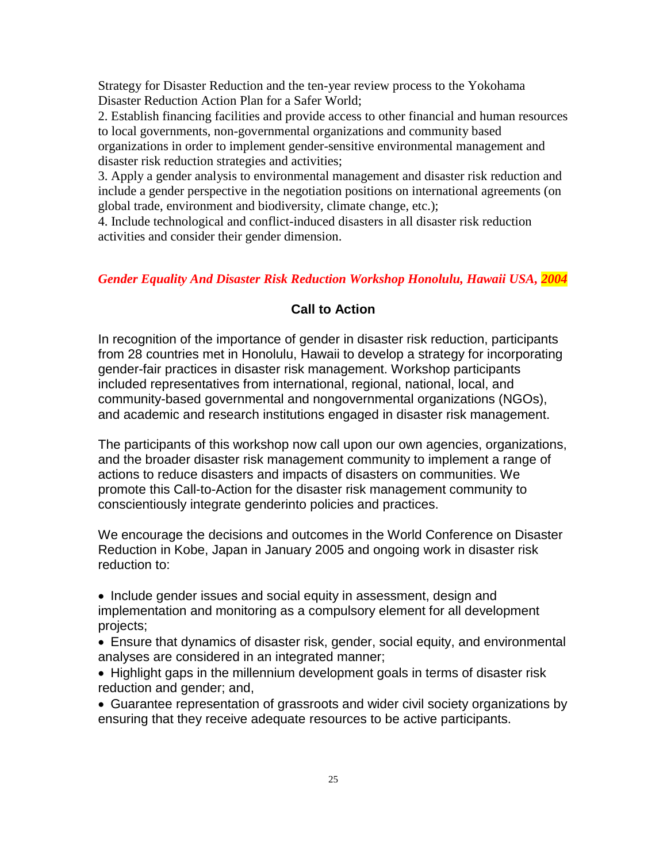Strategy for Disaster Reduction and the ten-year review process to the Yokohama Disaster Reduction Action Plan for a Safer World;

2. Establish financing facilities and provide access to other financial and human resources to local governments, non-governmental organizations and community based organizations in order to implement gender-sensitive environmental management and disaster risk reduction strategies and activities;

3. Apply a gender analysis to environmental management and disaster risk reduction and include a gender perspective in the negotiation positions on international agreements (on global trade, environment and biodiversity, climate change, etc.);

4. Include technological and conflict-induced disasters in all disaster risk reduction activities and consider their gender dimension.

## *Gender Equality And Disaster Risk Reduction Workshop Honolulu, Hawaii USA, 2004*

## **Call to Action**

In recognition of the importance of gender in disaster risk reduction, participants from 28 countries met in Honolulu, Hawaii to develop a strategy for incorporating gender-fair practices in disaster risk management. Workshop participants included representatives from international, regional, national, local, and community-based governmental and nongovernmental organizations (NGOs), and academic and research institutions engaged in disaster risk management.

The participants of this workshop now call upon our own agencies, organizations, and the broader disaster risk management community to implement a range of actions to reduce disasters and impacts of disasters on communities. We promote this Call-to-Action for the disaster risk management community to conscientiously integrate genderinto policies and practices.

We encourage the decisions and outcomes in the World Conference on Disaster Reduction in Kobe, Japan in January 2005 and ongoing work in disaster risk reduction to:

• Include gender issues and social equity in assessment, design and implementation and monitoring as a compulsory element for all development projects;

Ensure that dynamics of disaster risk, gender, social equity, and environmental analyses are considered in an integrated manner;

• Highlight gaps in the millennium development goals in terms of disaster risk reduction and gender; and,

Guarantee representation of grassroots and wider civil society organizations by ensuring that they receive adequate resources to be active participants.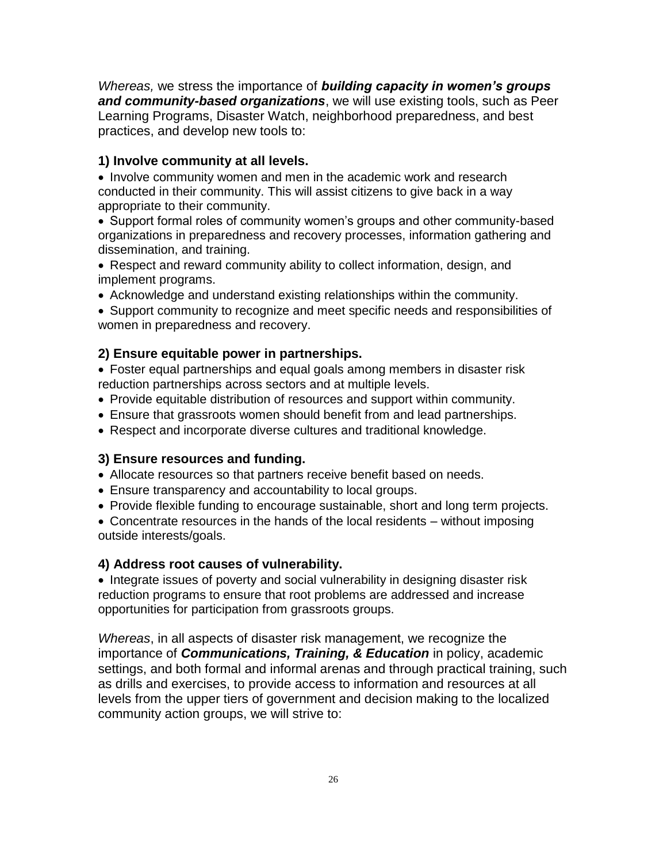*Whereas,* we stress the importance of *building capacity in women's groups and community-based organizations*, we will use existing tools, such as Peer Learning Programs, Disaster Watch, neighborhood preparedness, and best practices, and develop new tools to:

### **1) Involve community at all levels.**

• Involve community women and men in the academic work and research conducted in their community. This will assist citizens to give back in a way appropriate to their community.

• Support formal roles of community women's groups and other community-based organizations in preparedness and recovery processes, information gathering and dissemination, and training.

- Respect and reward community ability to collect information, design, and implement programs.
- Acknowledge and understand existing relationships within the community.

Support community to recognize and meet specific needs and responsibilities of women in preparedness and recovery.

## **2) Ensure equitable power in partnerships.**

Foster equal partnerships and equal goals among members in disaster risk reduction partnerships across sectors and at multiple levels.

- Provide equitable distribution of resources and support within community.
- Ensure that grassroots women should benefit from and lead partnerships.
- Respect and incorporate diverse cultures and traditional knowledge.

### **3) Ensure resources and funding.**

- Allocate resources so that partners receive benefit based on needs.
- Ensure transparency and accountability to local groups.
- Provide flexible funding to encourage sustainable, short and long term projects.

Concentrate resources in the hands of the local residents – without imposing outside interests/goals.

### **4) Address root causes of vulnerability.**

• Integrate issues of poverty and social vulnerability in designing disaster risk reduction programs to ensure that root problems are addressed and increase opportunities for participation from grassroots groups.

*Whereas*, in all aspects of disaster risk management, we recognize the importance of *Communications, Training, & Education* in policy, academic settings, and both formal and informal arenas and through practical training, such as drills and exercises, to provide access to information and resources at all levels from the upper tiers of government and decision making to the localized community action groups, we will strive to: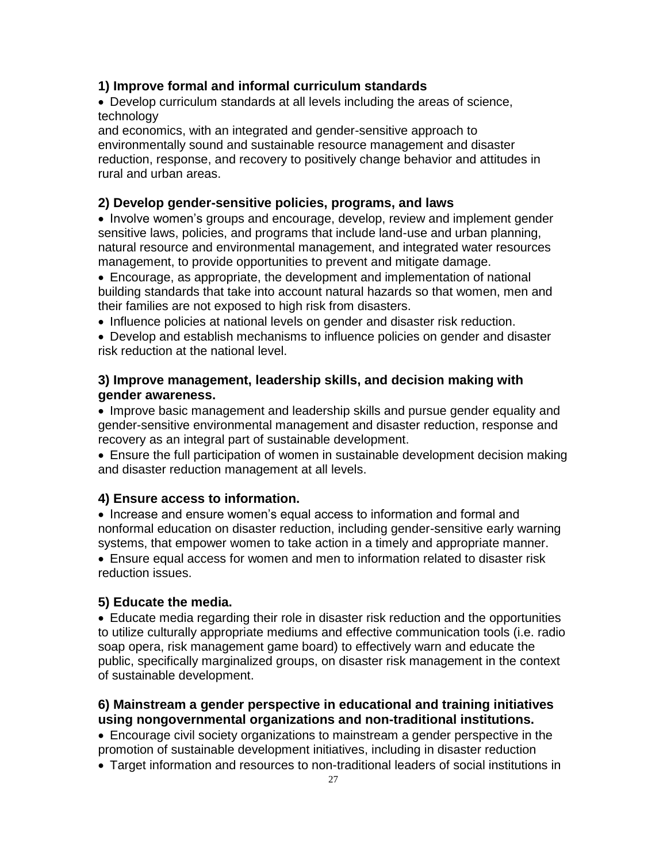### **1) Improve formal and informal curriculum standards**

Develop curriculum standards at all levels including the areas of science, technology

and economics, with an integrated and gender-sensitive approach to environmentally sound and sustainable resource management and disaster reduction, response, and recovery to positively change behavior and attitudes in rural and urban areas.

# **2) Develop gender-sensitive policies, programs, and laws**

• Involve women's groups and encourage, develop, review and implement gender sensitive laws, policies, and programs that include land-use and urban planning, natural resource and environmental management, and integrated water resources management, to provide opportunities to prevent and mitigate damage.

Encourage, as appropriate, the development and implementation of national building standards that take into account natural hazards so that women, men and their families are not exposed to high risk from disasters.

• Influence policies at national levels on gender and disaster risk reduction.

Develop and establish mechanisms to influence policies on gender and disaster risk reduction at the national level.

## **3) Improve management, leadership skills, and decision making with gender awareness.**

• Improve basic management and leadership skills and pursue gender equality and gender-sensitive environmental management and disaster reduction, response and recovery as an integral part of sustainable development.

Ensure the full participation of women in sustainable development decision making and disaster reduction management at all levels.

### **4) Ensure access to information.**

• Increase and ensure women's equal access to information and formal and nonformal education on disaster reduction, including gender-sensitive early warning systems, that empower women to take action in a timely and appropriate manner.

Ensure equal access for women and men to information related to disaster risk reduction issues.

## **5) Educate the media.**

Educate media regarding their role in disaster risk reduction and the opportunities to utilize culturally appropriate mediums and effective communication tools (i.e. radio soap opera, risk management game board) to effectively warn and educate the public, specifically marginalized groups, on disaster risk management in the context of sustainable development.

# **6) Mainstream a gender perspective in educational and training initiatives using nongovernmental organizations and non-traditional institutions.**

Encourage civil society organizations to mainstream a gender perspective in the promotion of sustainable development initiatives, including in disaster reduction

Target information and resources to non-traditional leaders of social institutions in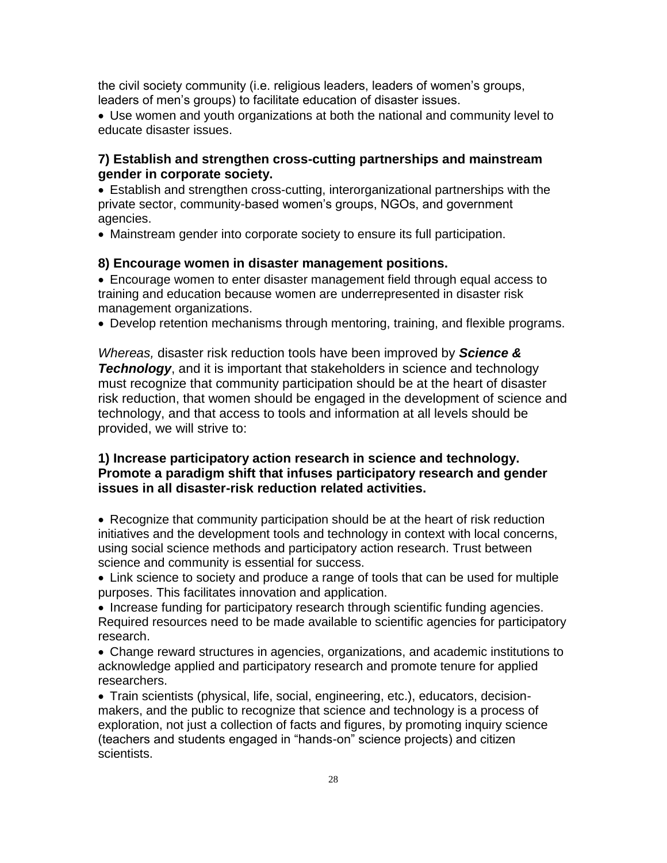the civil society community (i.e. religious leaders, leaders of women's groups, leaders of men's groups) to facilitate education of disaster issues.

Use women and youth organizations at both the national and community level to educate disaster issues.

# **7) Establish and strengthen cross-cutting partnerships and mainstream gender in corporate society.**

Establish and strengthen cross-cutting, interorganizational partnerships with the private sector, community-based women's groups, NGOs, and government agencies.

Mainstream gender into corporate society to ensure its full participation.

## **8) Encourage women in disaster management positions.**

Encourage women to enter disaster management field through equal access to training and education because women are underrepresented in disaster risk management organizations.

Develop retention mechanisms through mentoring, training, and flexible programs.

*Whereas,* disaster risk reduction tools have been improved by *Science & Technology*, and it is important that stakeholders in science and technology must recognize that community participation should be at the heart of disaster risk reduction, that women should be engaged in the development of science and technology, and that access to tools and information at all levels should be provided, we will strive to:

# **1) Increase participatory action research in science and technology. Promote a paradigm shift that infuses participatory research and gender issues in all disaster-risk reduction related activities.**

• Recognize that community participation should be at the heart of risk reduction initiatives and the development tools and technology in context with local concerns, using social science methods and participatory action research. Trust between science and community is essential for success.

Link science to society and produce a range of tools that can be used for multiple purposes. This facilitates innovation and application.

• Increase funding for participatory research through scientific funding agencies. Required resources need to be made available to scientific agencies for participatory research.

Change reward structures in agencies, organizations, and academic institutions to acknowledge applied and participatory research and promote tenure for applied researchers.

Train scientists (physical, life, social, engineering, etc.), educators, decisionmakers, and the public to recognize that science and technology is a process of exploration, not just a collection of facts and figures, by promoting inquiry science (teachers and students engaged in "hands-on" science projects) and citizen scientists.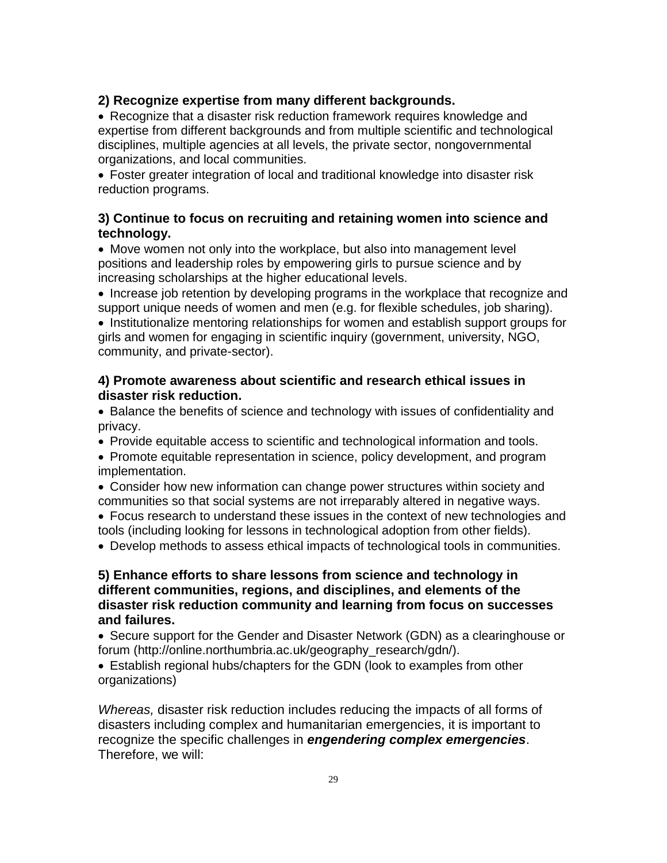## **2) Recognize expertise from many different backgrounds.**

• Recognize that a disaster risk reduction framework requires knowledge and expertise from different backgrounds and from multiple scientific and technological disciplines, multiple agencies at all levels, the private sector, nongovernmental organizations, and local communities.

Foster greater integration of local and traditional knowledge into disaster risk reduction programs.

## **3) Continue to focus on recruiting and retaining women into science and technology.**

• Move women not only into the workplace, but also into management level positions and leadership roles by empowering girls to pursue science and by increasing scholarships at the higher educational levels.

• Increase job retention by developing programs in the workplace that recognize and support unique needs of women and men (e.g. for flexible schedules, job sharing).

• Institutionalize mentoring relationships for women and establish support groups for girls and women for engaging in scientific inquiry (government, university, NGO, community, and private-sector).

## **4) Promote awareness about scientific and research ethical issues in disaster risk reduction.**

Balance the benefits of science and technology with issues of confidentiality and privacy.

Provide equitable access to scientific and technological information and tools.

• Promote equitable representation in science, policy development, and program implementation.

Consider how new information can change power structures within society and communities so that social systems are not irreparably altered in negative ways.

Focus research to understand these issues in the context of new technologies and tools (including looking for lessons in technological adoption from other fields).

Develop methods to assess ethical impacts of technological tools in communities.

# **5) Enhance efforts to share lessons from science and technology in different communities, regions, and disciplines, and elements of the disaster risk reduction community and learning from focus on successes and failures.**

• Secure support for the Gender and Disaster Network (GDN) as a clearinghouse or forum (http://online.northumbria.ac.uk/geography\_research/gdn/).

Establish regional hubs/chapters for the GDN (look to examples from other organizations)

*Whereas,* disaster risk reduction includes reducing the impacts of all forms of disasters including complex and humanitarian emergencies, it is important to recognize the specific challenges in *engendering complex emergencies*. Therefore, we will: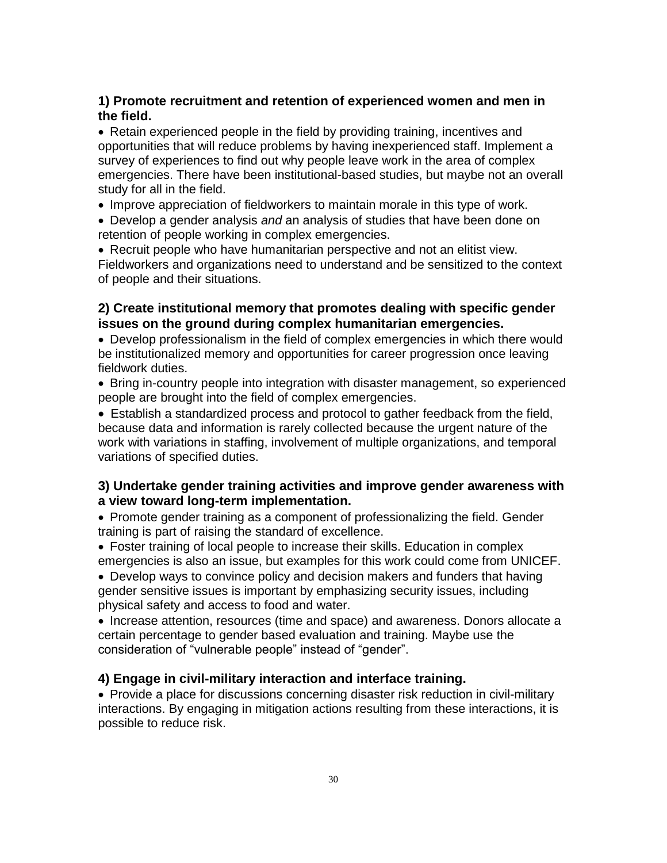# **1) Promote recruitment and retention of experienced women and men in the field.**

Retain experienced people in the field by providing training, incentives and opportunities that will reduce problems by having inexperienced staff. Implement a survey of experiences to find out why people leave work in the area of complex emergencies. There have been institutional-based studies, but maybe not an overall study for all in the field.

• Improve appreciation of fieldworkers to maintain morale in this type of work.

Develop a gender analysis *and* an analysis of studies that have been done on retention of people working in complex emergencies.

• Recruit people who have humanitarian perspective and not an elitist view. Fieldworkers and organizations need to understand and be sensitized to the context of people and their situations.

## **2) Create institutional memory that promotes dealing with specific gender issues on the ground during complex humanitarian emergencies.**

Develop professionalism in the field of complex emergencies in which there would be institutionalized memory and opportunities for career progression once leaving fieldwork duties.

Bring in-country people into integration with disaster management, so experienced people are brought into the field of complex emergencies.

Establish a standardized process and protocol to gather feedback from the field, because data and information is rarely collected because the urgent nature of the work with variations in staffing, involvement of multiple organizations, and temporal variations of specified duties.

## **3) Undertake gender training activities and improve gender awareness with a view toward long-term implementation.**

• Promote gender training as a component of professionalizing the field. Gender training is part of raising the standard of excellence.

Foster training of local people to increase their skills. Education in complex emergencies is also an issue, but examples for this work could come from UNICEF.

Develop ways to convince policy and decision makers and funders that having gender sensitive issues is important by emphasizing security issues, including physical safety and access to food and water.

• Increase attention, resources (time and space) and awareness. Donors allocate a certain percentage to gender based evaluation and training. Maybe use the consideration of "vulnerable people" instead of "gender".

## **4) Engage in civil-military interaction and interface training.**

• Provide a place for discussions concerning disaster risk reduction in civil-military interactions. By engaging in mitigation actions resulting from these interactions, it is possible to reduce risk.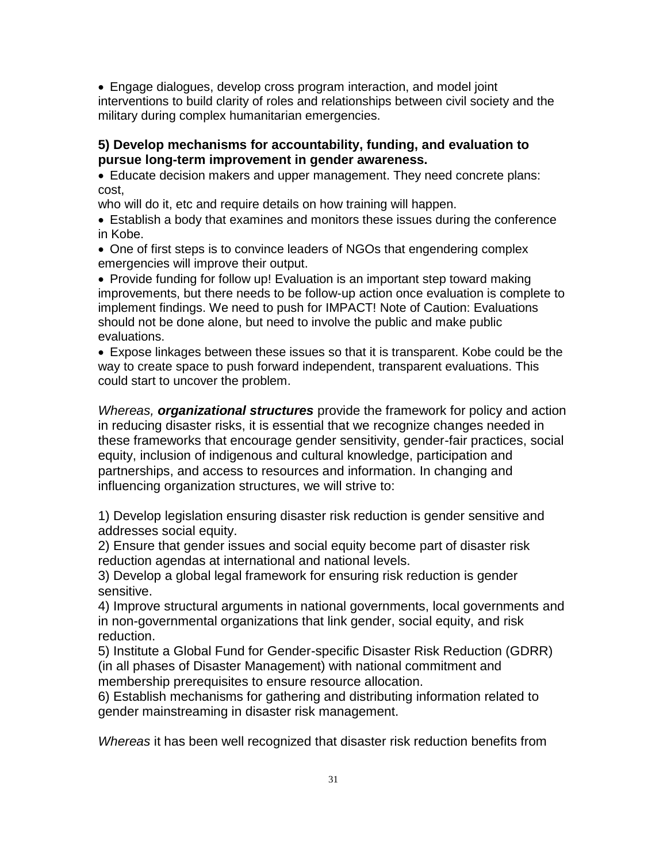Engage dialogues, develop cross program interaction, and model joint interventions to build clarity of roles and relationships between civil society and the military during complex humanitarian emergencies.

## **5) Develop mechanisms for accountability, funding, and evaluation to pursue long-term improvement in gender awareness.**

Educate decision makers and upper management. They need concrete plans: cost,

who will do it, etc and require details on how training will happen.

Establish a body that examines and monitors these issues during the conference in Kobe.

One of first steps is to convince leaders of NGOs that engendering complex emergencies will improve their output.

• Provide funding for follow up! Evaluation is an important step toward making improvements, but there needs to be follow-up action once evaluation is complete to implement findings. We need to push for IMPACT! Note of Caution: Evaluations should not be done alone, but need to involve the public and make public evaluations.

Expose linkages between these issues so that it is transparent. Kobe could be the way to create space to push forward independent, transparent evaluations. This could start to uncover the problem.

*Whereas, organizational structures* provide the framework for policy and action in reducing disaster risks, it is essential that we recognize changes needed in these frameworks that encourage gender sensitivity, gender-fair practices, social equity, inclusion of indigenous and cultural knowledge, participation and partnerships, and access to resources and information. In changing and influencing organization structures, we will strive to:

1) Develop legislation ensuring disaster risk reduction is gender sensitive and addresses social equity.

2) Ensure that gender issues and social equity become part of disaster risk reduction agendas at international and national levels.

3) Develop a global legal framework for ensuring risk reduction is gender sensitive.

4) Improve structural arguments in national governments, local governments and in non-governmental organizations that link gender, social equity, and risk reduction.

5) Institute a Global Fund for Gender-specific Disaster Risk Reduction (GDRR) (in all phases of Disaster Management) with national commitment and membership prerequisites to ensure resource allocation.

6) Establish mechanisms for gathering and distributing information related to gender mainstreaming in disaster risk management.

*Whereas* it has been well recognized that disaster risk reduction benefits from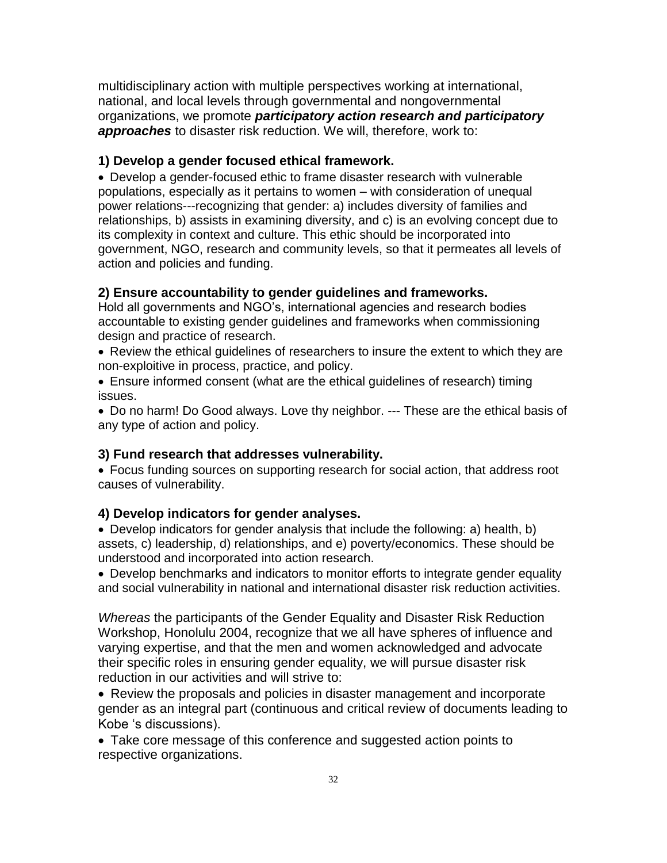multidisciplinary action with multiple perspectives working at international, national, and local levels through governmental and nongovernmental organizations, we promote *participatory action research and participatory approaches* to disaster risk reduction. We will, therefore, work to:

## **1) Develop a gender focused ethical framework.**

Develop a gender-focused ethic to frame disaster research with vulnerable populations, especially as it pertains to women – with consideration of unequal power relations---recognizing that gender: a) includes diversity of families and relationships, b) assists in examining diversity, and c) is an evolving concept due to its complexity in context and culture. This ethic should be incorporated into government, NGO, research and community levels, so that it permeates all levels of action and policies and funding.

## **2) Ensure accountability to gender guidelines and frameworks.**

Hold all governments and NGO's, international agencies and research bodies accountable to existing gender guidelines and frameworks when commissioning design and practice of research.

Review the ethical guidelines of researchers to insure the extent to which they are non-exploitive in process, practice, and policy.

Ensure informed consent (what are the ethical guidelines of research) timing issues.

Do no harm! Do Good always. Love thy neighbor. --- These are the ethical basis of any type of action and policy.

## **3) Fund research that addresses vulnerability.**

Focus funding sources on supporting research for social action, that address root causes of vulnerability.

### **4) Develop indicators for gender analyses.**

Develop indicators for gender analysis that include the following: a) health, b) assets, c) leadership, d) relationships, and e) poverty/economics. These should be understood and incorporated into action research.

Develop benchmarks and indicators to monitor efforts to integrate gender equality and social vulnerability in national and international disaster risk reduction activities.

*Whereas* the participants of the Gender Equality and Disaster Risk Reduction Workshop, Honolulu 2004, recognize that we all have spheres of influence and varying expertise, and that the men and women acknowledged and advocate their specific roles in ensuring gender equality, we will pursue disaster risk reduction in our activities and will strive to:

Review the proposals and policies in disaster management and incorporate gender as an integral part (continuous and critical review of documents leading to Kobe 's discussions).

Take core message of this conference and suggested action points to respective organizations.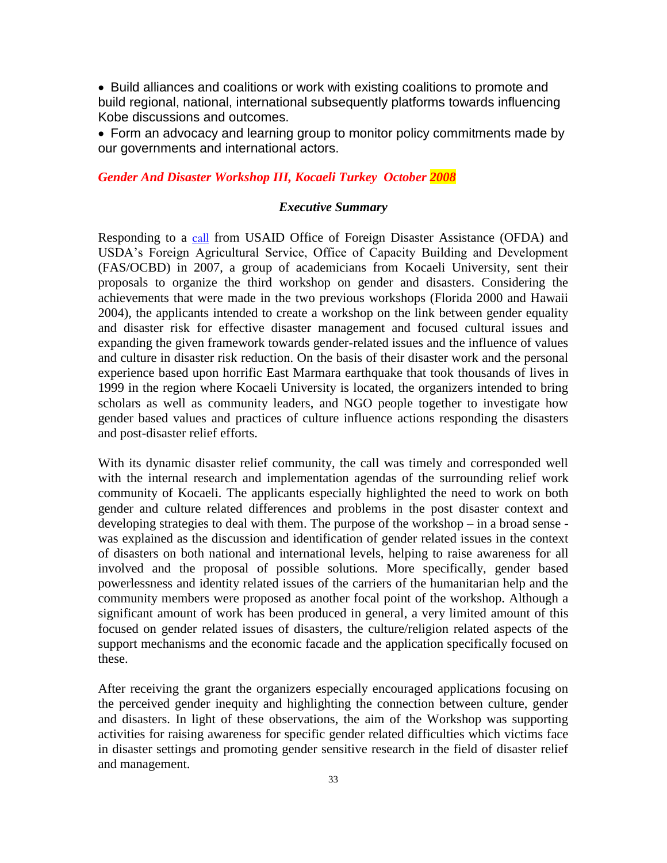• Build alliances and coalitions or work with existing coalitions to promote and build regional, national, international subsequently platforms towards influencing Kobe discussions and outcomes.

Form an advocacy and learning group to monitor policy commitments made by our governments and international actors.

#### *Gender And Disaster Workshop III, Kocaeli Turkey October 2008*

#### *Executive Summary*

Responding to a [call](http://www.genderanddisaster2008.org/ARAPOR/Fcall.pdf) from USAID Office of Foreign Disaster Assistance (OFDA) and USDA's Foreign Agricultural Service, Office of Capacity Building and Development (FAS/OCBD) in 2007, a group of academicians from Kocaeli University, sent their proposals to organize the third workshop on gender and disasters. Considering the achievements that were made in the two previous workshops (Florida 2000 and Hawaii 2004), the applicants intended to create a workshop on the link between gender equality and disaster risk for effective disaster management and focused cultural issues and expanding the given framework towards gender-related issues and the influence of values and culture in disaster risk reduction. On the basis of their disaster work and the personal experience based upon horrific East Marmara earthquake that took thousands of lives in 1999 in the region where Kocaeli University is located, the organizers intended to bring scholars as well as community leaders, and NGO people together to investigate how gender based values and practices of culture influence actions responding the disasters and post-disaster relief efforts.

With its dynamic disaster relief community, the call was timely and corresponded well with the internal research and implementation agendas of the surrounding relief work community of Kocaeli. The applicants especially highlighted the need to work on both gender and culture related differences and problems in the post disaster context and developing strategies to deal with them. The purpose of the workshop – in a broad sense was explained as the discussion and identification of gender related issues in the context of disasters on both national and international levels, helping to raise awareness for all involved and the proposal of possible solutions. More specifically, gender based powerlessness and identity related issues of the carriers of the humanitarian help and the community members were proposed as another focal point of the workshop. Although a significant amount of work has been produced in general, a very limited amount of this focused on gender related issues of disasters, the culture/religion related aspects of the support mechanisms and the economic facade and the application specifically focused on these.

After receiving the grant the organizers especially encouraged applications focusing on the perceived gender inequity and highlighting the connection between culture, gender and disasters. In light of these observations, the aim of the Workshop was supporting activities for raising awareness for specific gender related difficulties which victims face in disaster settings and promoting gender sensitive research in the field of disaster relief and management.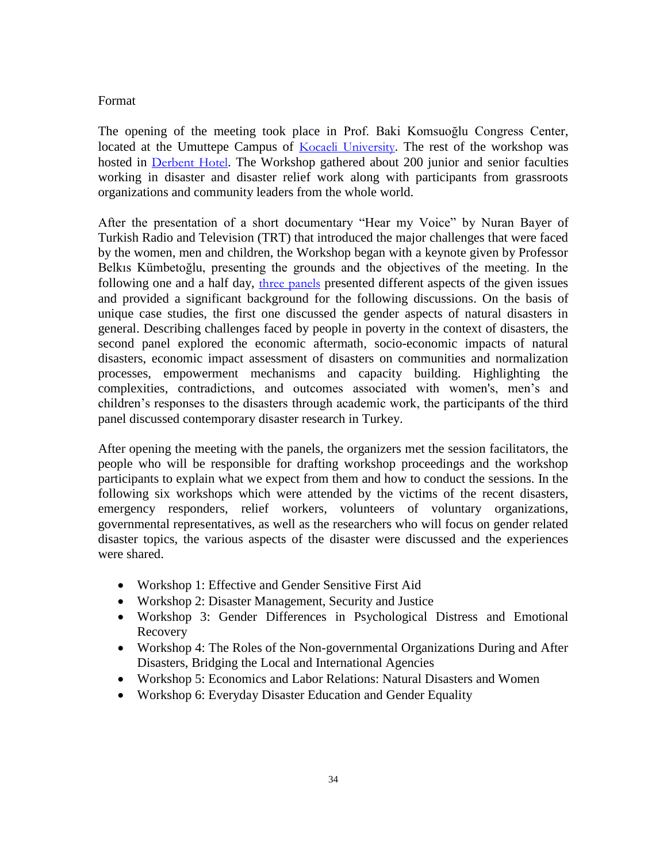### Format

The opening of the meeting took place in Prof. Baki Komsuoğlu Congress Center, located at the Umuttepe Campus of [Kocaeli University](http://www.kocaeli.edu.tr/). The rest of the workshop was hosted in [Derbent Hotel](http://www.derbentotel.com/). The Workshop gathered about 200 junior and senior faculties working in disaster and disaster relief work along with participants from grassroots organizations and community leaders from the whole world.

After the presentation of a short documentary "Hear my Voice" by Nuran Bayer of Turkish Radio and Television (TRT) that introduced the major challenges that were faced by the women, men and children, the Workshop began with a keynote given by Professor Belkıs Kümbetoğlu, presenting the grounds and the objectives of the meeting. In the following one and a half day, [three panels](http://www.genderanddisaster2008.org/ARAPOR/INGProgram.pdf) presented different aspects of the given issues and provided a significant background for the following discussions. On the basis of unique case studies, the first one discussed the gender aspects of natural disasters in general. Describing challenges faced by people in poverty in the context of disasters, the second panel explored the economic aftermath, socio-economic impacts of natural disasters, economic impact assessment of disasters on communities and normalization processes, empowerment mechanisms and capacity building. Highlighting the complexities, contradictions, and outcomes associated with women's, men's and children's responses to the disasters through academic work, the participants of the third panel discussed contemporary disaster research in Turkey.

After opening the meeting with the panels, the organizers met the session facilitators, the people who will be responsible for drafting workshop proceedings and the workshop participants to explain what we expect from them and how to conduct the sessions. In the following six workshops which were attended by the victims of the recent disasters, emergency responders, relief workers, volunteers of voluntary organizations, governmental representatives, as well as the researchers who will focus on gender related disaster topics, the various aspects of the disaster were discussed and the experiences were shared.

- Workshop 1: Effective and Gender Sensitive First Aid
- Workshop 2: Disaster Management, Security and Justice
- Workshop 3: Gender Differences in Psychological Distress and Emotional Recovery
- Workshop 4: The Roles of the Non-governmental Organizations During and After Disasters, Bridging the Local and International Agencies
- Workshop 5: Economics and Labor Relations: Natural Disasters and Women
- Workshop 6: Everyday Disaster Education and Gender Equality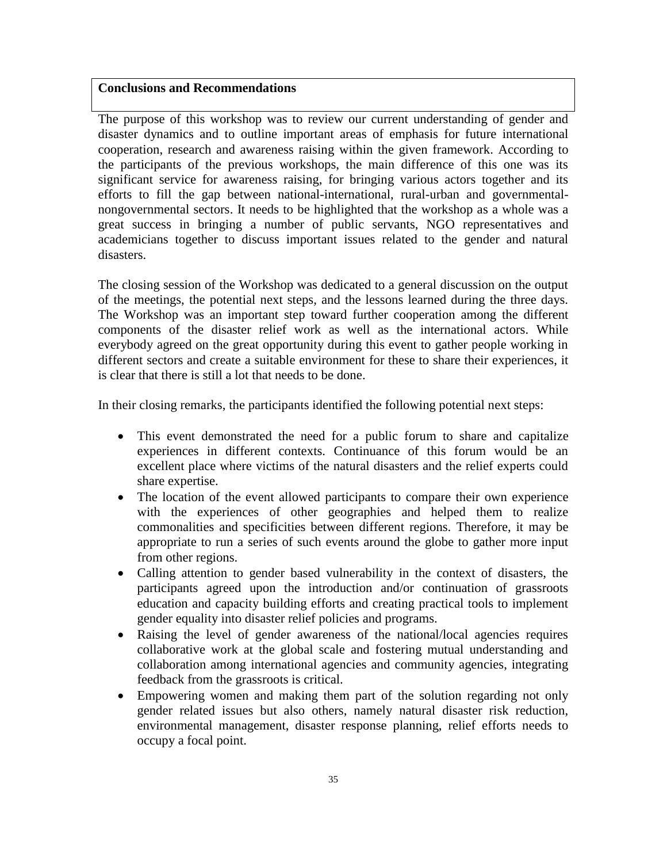#### **Conclusions and Recommendations**

The purpose of this workshop was to review our current understanding of gender and disaster dynamics and to outline important areas of emphasis for future international cooperation, research and awareness raising within the given framework. According to the participants of the previous workshops, the main difference of this one was its significant service for awareness raising, for bringing various actors together and its efforts to fill the gap between national-international, rural-urban and governmentalnongovernmental sectors. It needs to be highlighted that the workshop as a whole was a great success in bringing a number of public servants, NGO representatives and academicians together to discuss important issues related to the gender and natural disasters.

The closing session of the Workshop was dedicated to a general discussion on the output of the meetings, the potential next steps, and the lessons learned during the three days. The Workshop was an important step toward further cooperation among the different components of the disaster relief work as well as the international actors. While everybody agreed on the great opportunity during this event to gather people working in different sectors and create a suitable environment for these to share their experiences, it is clear that there is still a lot that needs to be done.

In their closing remarks, the participants identified the following potential next steps:

- This event demonstrated the need for a public forum to share and capitalize experiences in different contexts. Continuance of this forum would be an excellent place where victims of the natural disasters and the relief experts could share expertise.
- The location of the event allowed participants to compare their own experience with the experiences of other geographies and helped them to realize commonalities and specificities between different regions. Therefore, it may be appropriate to run a series of such events around the globe to gather more input from other regions.
- Calling attention to gender based vulnerability in the context of disasters, the participants agreed upon the introduction and/or continuation of grassroots education and capacity building efforts and creating practical tools to implement gender equality into disaster relief policies and programs.
- Raising the level of gender awareness of the national/local agencies requires collaborative work at the global scale and fostering mutual understanding and collaboration among international agencies and community agencies, integrating feedback from the grassroots is critical.
- Empowering women and making them part of the solution regarding not only gender related issues but also others, namely natural disaster risk reduction, environmental management, disaster response planning, relief efforts needs to occupy a focal point.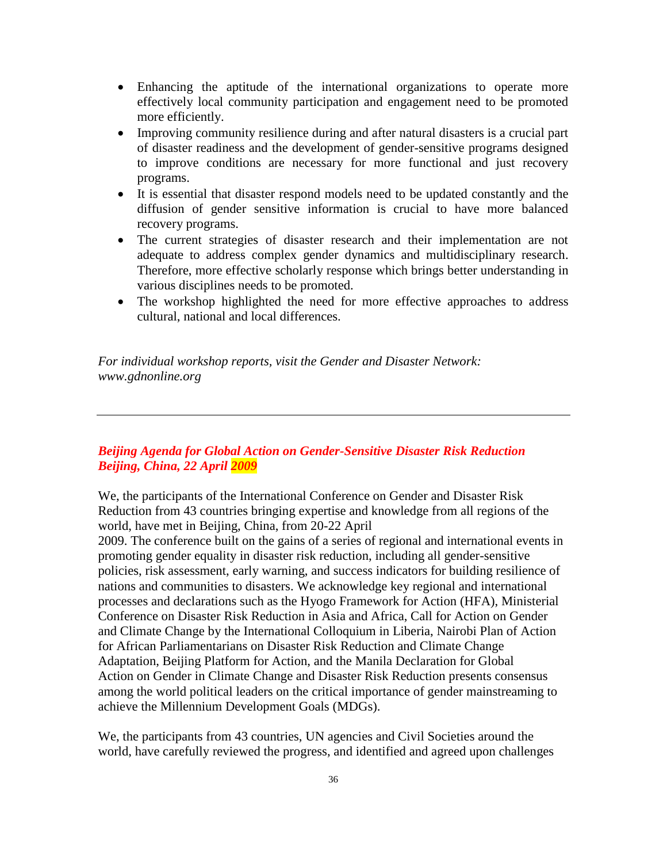- Enhancing the aptitude of the international organizations to operate more effectively local community participation and engagement need to be promoted more efficiently.
- Improving community resilience during and after natural disasters is a crucial part of disaster readiness and the development of gender-sensitive programs designed to improve conditions are necessary for more functional and just recovery programs.
- It is essential that disaster respond models need to be updated constantly and the diffusion of gender sensitive information is crucial to have more balanced recovery programs.
- The current strategies of disaster research and their implementation are not adequate to address complex gender dynamics and multidisciplinary research. Therefore, more effective scholarly response which brings better understanding in various disciplines needs to be promoted.
- The workshop highlighted the need for more effective approaches to address cultural, national and local differences.

*For individual workshop reports, visit the Gender and Disaster Network: www.gdnonline.org*

# *Beijing Agenda for Global Action on Gender-Sensitive Disaster Risk Reduction Beijing, China, 22 April 2009*

We, the participants of the International Conference on Gender and Disaster Risk Reduction from 43 countries bringing expertise and knowledge from all regions of the world, have met in Beijing, China, from 20-22 April

2009. The conference built on the gains of a series of regional and international events in promoting gender equality in disaster risk reduction, including all gender-sensitive policies, risk assessment, early warning, and success indicators for building resilience of nations and communities to disasters. We acknowledge key regional and international processes and declarations such as the Hyogo Framework for Action (HFA), Ministerial Conference on Disaster Risk Reduction in Asia and Africa, Call for Action on Gender and Climate Change by the International Colloquium in Liberia, Nairobi Plan of Action for African Parliamentarians on Disaster Risk Reduction and Climate Change Adaptation, Beijing Platform for Action, and the Manila Declaration for Global Action on Gender in Climate Change and Disaster Risk Reduction presents consensus among the world political leaders on the critical importance of gender mainstreaming to achieve the Millennium Development Goals (MDGs).

We, the participants from 43 countries, UN agencies and Civil Societies around the world, have carefully reviewed the progress, and identified and agreed upon challenges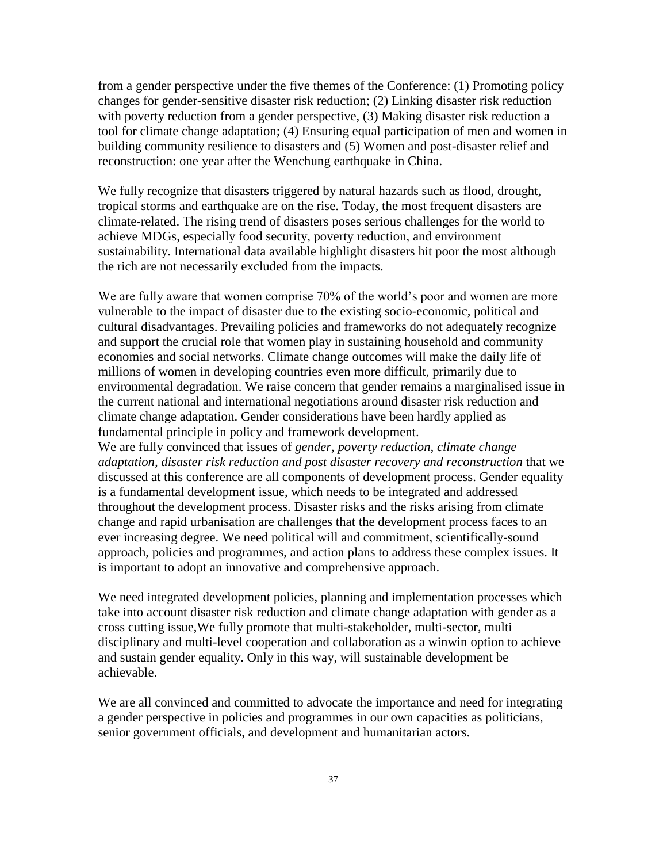from a gender perspective under the five themes of the Conference: (1) Promoting policy changes for gender-sensitive disaster risk reduction; (2) Linking disaster risk reduction with poverty reduction from a gender perspective, (3) Making disaster risk reduction a tool for climate change adaptation; (4) Ensuring equal participation of men and women in building community resilience to disasters and (5) Women and post-disaster relief and reconstruction: one year after the Wenchung earthquake in China.

We fully recognize that disasters triggered by natural hazards such as flood, drought, tropical storms and earthquake are on the rise. Today, the most frequent disasters are climate-related. The rising trend of disasters poses serious challenges for the world to achieve MDGs, especially food security, poverty reduction, and environment sustainability. International data available highlight disasters hit poor the most although the rich are not necessarily excluded from the impacts.

We are fully aware that women comprise 70% of the world's poor and women are more vulnerable to the impact of disaster due to the existing socio-economic, political and cultural disadvantages. Prevailing policies and frameworks do not adequately recognize and support the crucial role that women play in sustaining household and community economies and social networks. Climate change outcomes will make the daily life of millions of women in developing countries even more difficult, primarily due to environmental degradation. We raise concern that gender remains a marginalised issue in the current national and international negotiations around disaster risk reduction and climate change adaptation. Gender considerations have been hardly applied as fundamental principle in policy and framework development.

We are fully convinced that issues of *gender, poverty reduction, climate change adaptation, disaster risk reduction and post disaster recovery and reconstruction* that we discussed at this conference are all components of development process. Gender equality is a fundamental development issue, which needs to be integrated and addressed throughout the development process. Disaster risks and the risks arising from climate change and rapid urbanisation are challenges that the development process faces to an ever increasing degree. We need political will and commitment, scientifically-sound approach, policies and programmes, and action plans to address these complex issues. It is important to adopt an innovative and comprehensive approach.

We need integrated development policies, planning and implementation processes which take into account disaster risk reduction and climate change adaptation with gender as a cross cutting issue,We fully promote that multi-stakeholder, multi-sector, multi disciplinary and multi-level cooperation and collaboration as a winwin option to achieve and sustain gender equality. Only in this way, will sustainable development be achievable.

We are all convinced and committed to advocate the importance and need for integrating a gender perspective in policies and programmes in our own capacities as politicians, senior government officials, and development and humanitarian actors.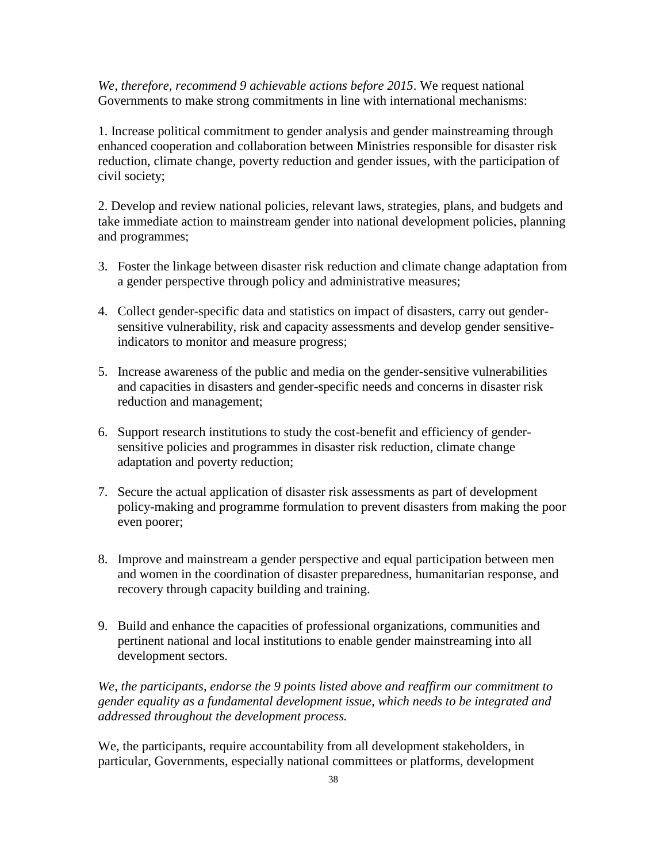*We, therefore, recommend 9 achievable actions before 2015*. We request national Governments to make strong commitments in line with international mechanisms:

1. Increase political commitment to gender analysis and gender mainstreaming through enhanced cooperation and collaboration between Ministries responsible for disaster risk reduction, climate change, poverty reduction and gender issues, with the participation of civil society;

2. Develop and review national policies, relevant laws, strategies, plans, and budgets and take immediate action to mainstream gender into national development policies, planning and programmes;

- 3. Foster the linkage between disaster risk reduction and climate change adaptation from a gender perspective through policy and administrative measures;
- 4. Collect gender-specific data and statistics on impact of disasters, carry out gendersensitive vulnerability, risk and capacity assessments and develop gender sensitiveindicators to monitor and measure progress;
- 5. Increase awareness of the public and media on the gender-sensitive vulnerabilities and capacities in disasters and gender-specific needs and concerns in disaster risk reduction and management;
- 6. Support research institutions to study the cost-benefit and efficiency of gendersensitive policies and programmes in disaster risk reduction, climate change adaptation and poverty reduction;
- 7. Secure the actual application of disaster risk assessments as part of development policy-making and programme formulation to prevent disasters from making the poor even poorer;
- 8. Improve and mainstream a gender perspective and equal participation between men and women in the coordination of disaster preparedness, humanitarian response, and recovery through capacity building and training.
- 9. Build and enhance the capacities of professional organizations, communities and pertinent national and local institutions to enable gender mainstreaming into all development sectors.

*We, the participants, endorse the 9 points listed above and reaffirm our commitment to gender equality as a fundamental development issue, which needs to be integrated and addressed throughout the development process.*

We, the participants, require accountability from all development stakeholders, in particular, Governments, especially national committees or platforms, development